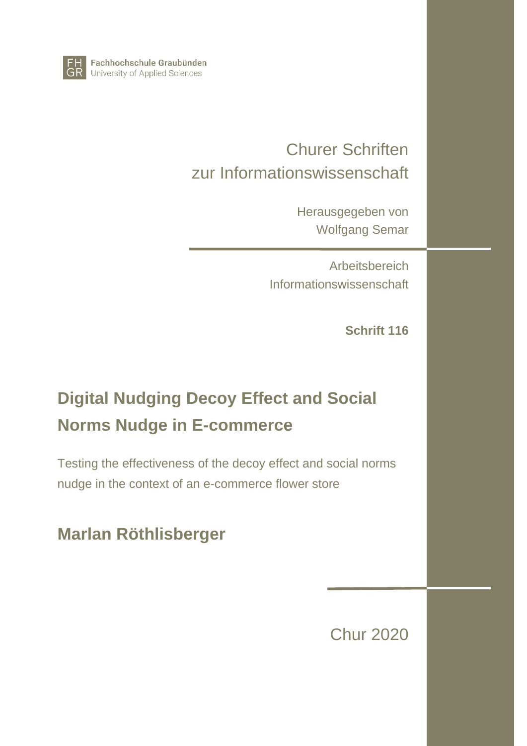

Fachhochschule Graubünden University of Applied Sciences

# Churer Schriften zur Informationswissenschaft

Herausgegeben von Wolfgang Semar

**Arbeitsbereich** Informationswissenschaft

**Schrift 116**

# **Digital Nudging Decoy Effect and Social Norms Nudge in E-commerce**

Testing the effectiveness of the decoy effect and social norms nudge in the context of an e-commerce flower store

# **Marlan Röthlisberger**

Chur 2020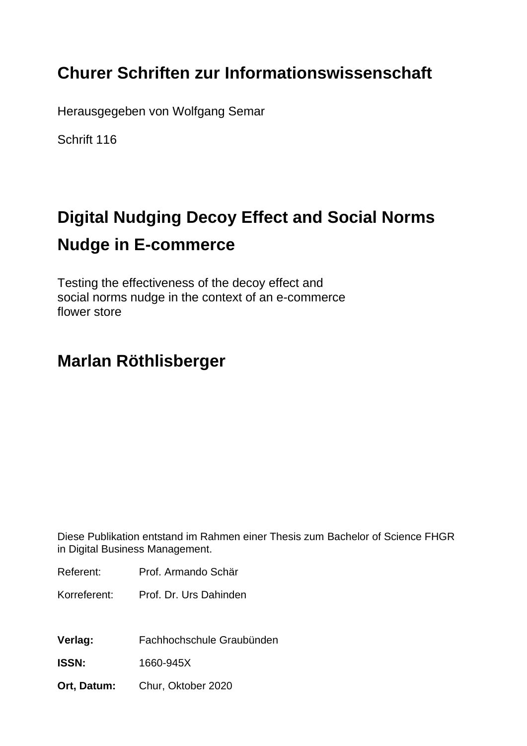# **Churer Schriften zur Informationswissenschaft**

Herausgegeben von Wolfgang Semar

Schrift 116

# **Digital Nudging Decoy Effect and Social Norms Nudge in E-commerce**

Testing the effectiveness of the decoy effect and social norms nudge in the context of an e-commerce flower store

# **Marlan Röthlisberger**

Diese Publikation entstand im Rahmen einer Thesis zum Bachelor of Science FHGR in Digital Business Management.

Referent: Prof. Armando Schär

Korreferent: Prof. Dr. Urs Dahinden

**Verlag:** Fachhochschule Graubünden

**ISSN:** 1660-945X

**Ort, Datum:** Chur, Oktober 2020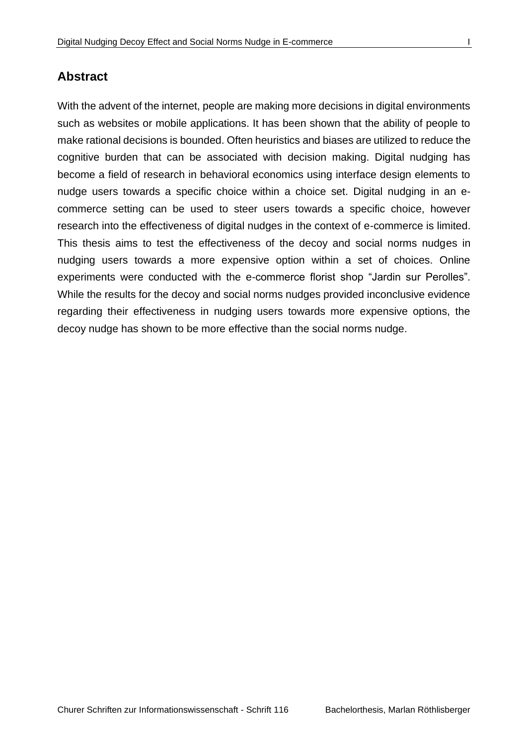#### **Abstract**

With the advent of the internet, people are making more decisions in digital environments such as websites or mobile applications. It has been shown that the ability of people to make rational decisions is bounded. Often heuristics and biases are utilized to reduce the cognitive burden that can be associated with decision making. Digital nudging has become a field of research in behavioral economics using interface design elements to nudge users towards a specific choice within a choice set. Digital nudging in an ecommerce setting can be used to steer users towards a specific choice, however research into the effectiveness of digital nudges in the context of e-commerce is limited. This thesis aims to test the effectiveness of the decoy and social norms nudges in nudging users towards a more expensive option within a set of choices. Online experiments were conducted with the e-commerce florist shop "Jardin sur Perolles". While the results for the decoy and social norms nudges provided inconclusive evidence regarding their effectiveness in nudging users towards more expensive options, the decoy nudge has shown to be more effective than the social norms nudge.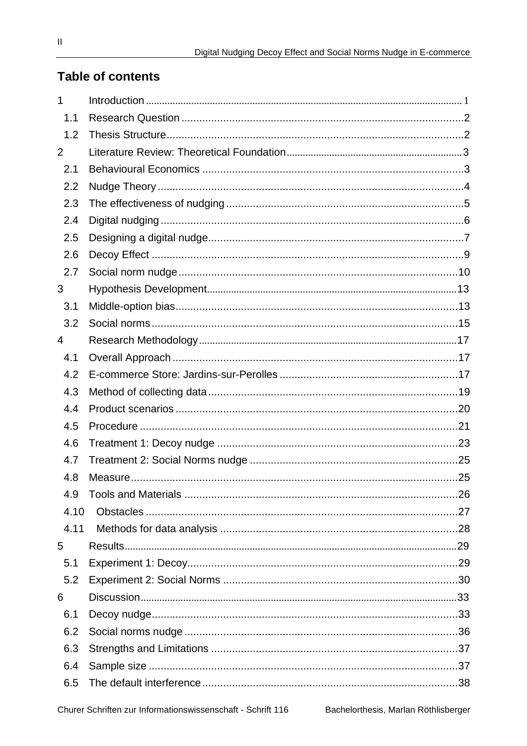# **Table of contents**

| 1              |  |
|----------------|--|
| 1.1            |  |
| 1.2            |  |
| 2              |  |
| 2.1            |  |
| 2.2            |  |
| 2.3            |  |
| 2.4            |  |
| 2.5            |  |
| 2.6            |  |
| 2.7            |  |
| 3              |  |
| 3.1            |  |
| 3.2            |  |
| $\overline{4}$ |  |
| 4.1            |  |
| 4.2            |  |
| 4.3            |  |
| 4.4            |  |
| 4.5            |  |
| 4.6            |  |
| 4.7            |  |
| 4.8            |  |
| 4.9            |  |
| 4.10           |  |
| 4.11           |  |
| 5              |  |
| 5.1            |  |
| 5.2            |  |
| 6              |  |
| 6.1            |  |
| 6.2            |  |
| 6.3            |  |
| 6.4            |  |
| 6.5            |  |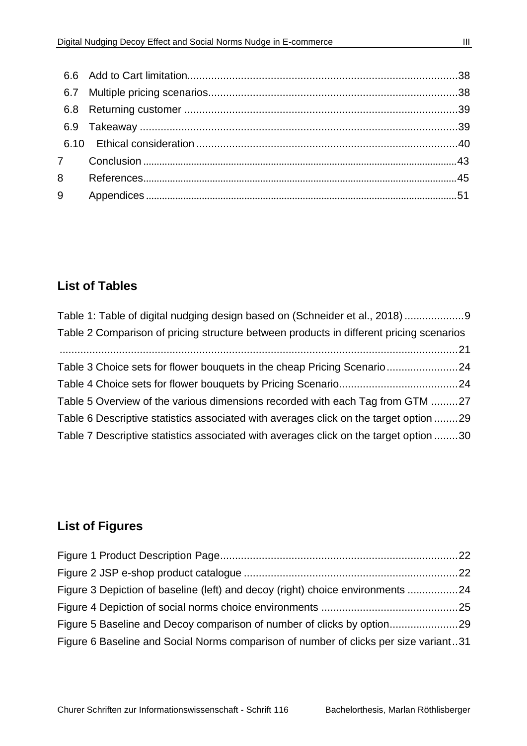| 9 |  |
|---|--|

# **List of Tables**

| Table 1: Table of digital nudging design based on (Schneider et al., 2018)              |  |
|-----------------------------------------------------------------------------------------|--|
| Table 2 Comparison of pricing structure between products in different pricing scenarios |  |
|                                                                                         |  |
| Table 3 Choice sets for flower bouquets in the cheap Pricing Scenario24                 |  |
|                                                                                         |  |
| Table 5 Overview of the various dimensions recorded with each Tag from GTM 27           |  |
| Table 6 Descriptive statistics associated with averages click on the target option 29   |  |
| Table 7 Descriptive statistics associated with averages click on the target option 30   |  |

# **List of Figures**

| Figure 3 Depiction of baseline (left) and decoy (right) choice environments 24       |  |
|--------------------------------------------------------------------------------------|--|
|                                                                                      |  |
| Figure 5 Baseline and Decoy comparison of number of clicks by option29               |  |
| Figure 6 Baseline and Social Norms comparison of number of clicks per size variant31 |  |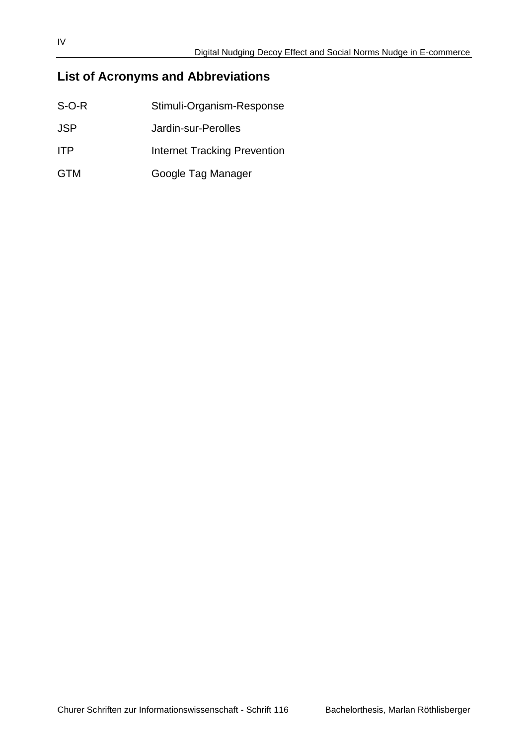# **List of Acronyms and Abbreviations**

| $S-O-R$    | Stimuli-Organism-Response    |
|------------|------------------------------|
| JSP.       | Jardin-sur-Perolles          |
| <b>ITP</b> | Internet Tracking Prevention |
| <b>GTM</b> | Google Tag Manager           |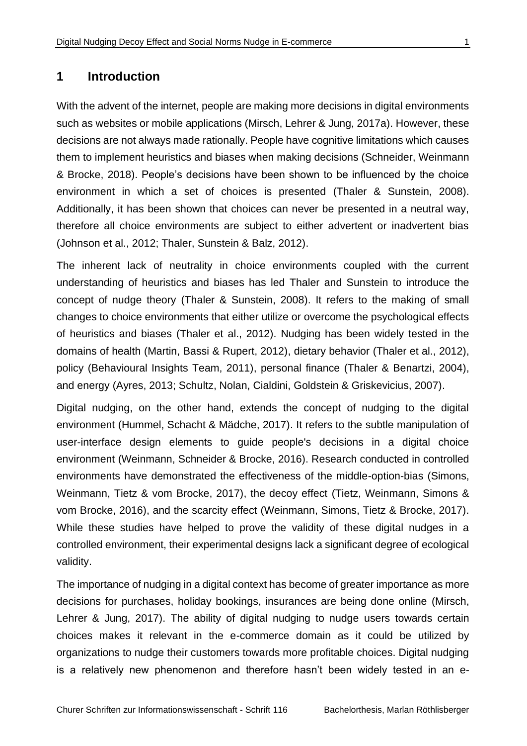#### <span id="page-8-0"></span>**1 Introduction**

With the advent of the internet, people are making more decisions in digital environments such as websites or mobile applications (Mirsch, Lehrer & Jung, 2017a). However, these decisions are not always made rationally. People have cognitive limitations which causes them to implement heuristics and biases when making decisions (Schneider, Weinmann & Brocke, 2018). People's decisions have been shown to be influenced by the choice environment in which a set of choices is presented (Thaler & Sunstein, 2008). Additionally, it has been shown that choices can never be presented in a neutral way, therefore all choice environments are subject to either advertent or inadvertent bias (Johnson et al., 2012; Thaler, Sunstein & Balz, 2012).

The inherent lack of neutrality in choice environments coupled with the current understanding of heuristics and biases has led Thaler and Sunstein to introduce the concept of nudge theory (Thaler & Sunstein, 2008). It refers to the making of small changes to choice environments that either utilize or overcome the psychological effects of heuristics and biases (Thaler et al., 2012). Nudging has been widely tested in the domains of health (Martin, Bassi & Rupert, 2012), dietary behavior (Thaler et al., 2012), policy (Behavioural Insights Team, 2011), personal finance (Thaler & Benartzi, 2004), and energy (Ayres, 2013; Schultz, Nolan, Cialdini, Goldstein & Griskevicius, 2007).

Digital nudging, on the other hand, extends the concept of nudging to the digital environment (Hummel, Schacht & Mädche, 2017). It refers to the subtle manipulation of user-interface design elements to guide people's decisions in a digital choice environment (Weinmann, Schneider & Brocke, 2016). Research conducted in controlled environments have demonstrated the effectiveness of the middle-option-bias (Simons, Weinmann, Tietz & vom Brocke, 2017), the decoy effect (Tietz, Weinmann, Simons & vom Brocke, 2016), and the scarcity effect (Weinmann, Simons, Tietz & Brocke, 2017). While these studies have helped to prove the validity of these digital nudges in a controlled environment, their experimental designs lack a significant degree of ecological validity.

The importance of nudging in a digital context has become of greater importance as more decisions for purchases, holiday bookings, insurances are being done online (Mirsch, Lehrer & Jung, 2017). The ability of digital nudging to nudge users towards certain choices makes it relevant in the e-commerce domain as it could be utilized by organizations to nudge their customers towards more profitable choices. Digital nudging is a relatively new phenomenon and therefore hasn't been widely tested in an e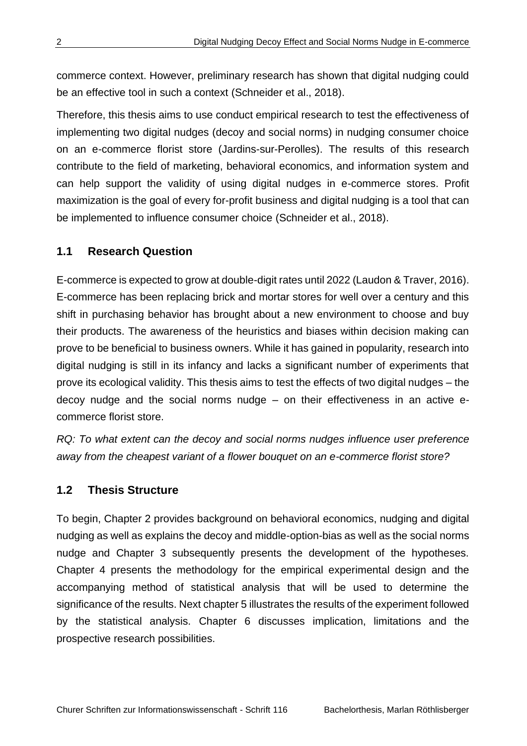commerce context. However, preliminary research has shown that digital nudging could be an effective tool in such a context (Schneider et al., 2018).

Therefore, this thesis aims to use conduct empirical research to test the effectiveness of implementing two digital nudges (decoy and social norms) in nudging consumer choice on an e-commerce florist store (Jardins-sur-Perolles). The results of this research contribute to the field of marketing, behavioral economics, and information system and can help support the validity of using digital nudges in e-commerce stores. Profit maximization is the goal of every for-profit business and digital nudging is a tool that can be implemented to influence consumer choice (Schneider et al., 2018).

#### <span id="page-9-0"></span>**1.1 Research Question**

E-commerce is expected to grow at double-digit rates until 2022 (Laudon & Traver, 2016). E-commerce has been replacing brick and mortar stores for well over a century and this shift in purchasing behavior has brought about a new environment to choose and buy their products. The awareness of the heuristics and biases within decision making can prove to be beneficial to business owners. While it has gained in popularity, research into digital nudging is still in its infancy and lacks a significant number of experiments that prove its ecological validity. This thesis aims to test the effects of two digital nudges – the decoy nudge and the social norms nudge – on their effectiveness in an active ecommerce florist store.

*RQ: To what extent can the decoy and social norms nudges influence user preference away from the cheapest variant of a flower bouquet on an e-commerce florist store?*

#### <span id="page-9-1"></span>**1.2 Thesis Structure**

To begin, Chapter 2 provides background on behavioral economics, nudging and digital nudging as well as explains the decoy and middle-option-bias as well as the social norms nudge and Chapter 3 subsequently presents the development of the hypotheses. Chapter 4 presents the methodology for the empirical experimental design and the accompanying method of statistical analysis that will be used to determine the significance of the results. Next chapter 5 illustrates the results of the experiment followed by the statistical analysis. Chapter 6 discusses implication, limitations and the prospective research possibilities.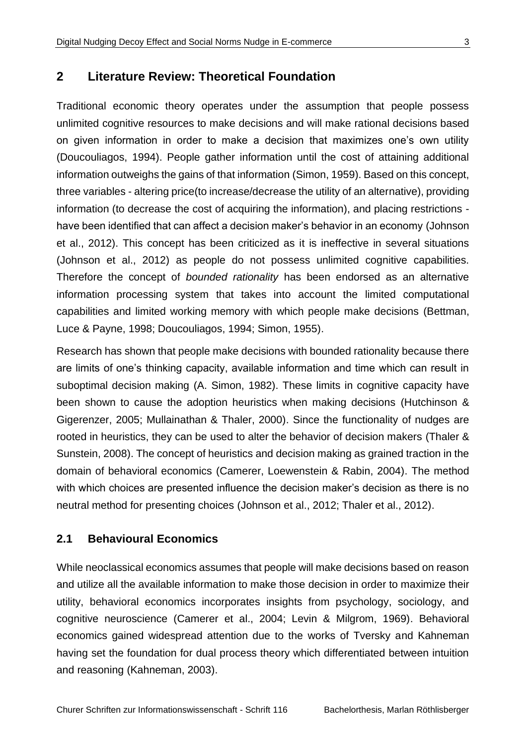#### <span id="page-10-0"></span>**2 Literature Review: Theoretical Foundation**

Traditional economic theory operates under the assumption that people possess unlimited cognitive resources to make decisions and will make rational decisions based on given information in order to make a decision that maximizes one's own utility (Doucouliagos, 1994). People gather information until the cost of attaining additional information outweighs the gains of that information (Simon, 1959). Based on this concept, three variables - altering price(to increase/decrease the utility of an alternative), providing information (to decrease the cost of acquiring the information), and placing restrictions have been identified that can affect a decision maker's behavior in an economy (Johnson et al., 2012). This concept has been criticized as it is ineffective in several situations (Johnson et al., 2012) as people do not possess unlimited cognitive capabilities. Therefore the concept of *bounded rationality* has been endorsed as an alternative information processing system that takes into account the limited computational capabilities and limited working memory with which people make decisions (Bettman, Luce & Payne, 1998; Doucouliagos, 1994; Simon, 1955).

Research has shown that people make decisions with bounded rationality because there are limits of one's thinking capacity, available information and time which can result in suboptimal decision making (A. Simon, 1982). These limits in cognitive capacity have been shown to cause the adoption heuristics when making decisions (Hutchinson & Gigerenzer, 2005; Mullainathan & Thaler, 2000). Since the functionality of nudges are rooted in heuristics, they can be used to alter the behavior of decision makers (Thaler & Sunstein, 2008). The concept of heuristics and decision making as grained traction in the domain of behavioral economics (Camerer, Loewenstein & Rabin, 2004). The method with which choices are presented influence the decision maker's decision as there is no neutral method for presenting choices (Johnson et al., 2012; Thaler et al., 2012).

#### <span id="page-10-1"></span>**2.1 Behavioural Economics**

While neoclassical economics assumes that people will make decisions based on reason and utilize all the available information to make those decision in order to maximize their utility, behavioral economics incorporates insights from psychology, sociology, and cognitive neuroscience (Camerer et al., 2004; Levin & Milgrom, 1969). Behavioral economics gained widespread attention due to the works of Tversky and Kahneman having set the foundation for dual process theory which differentiated between intuition and reasoning (Kahneman, 2003).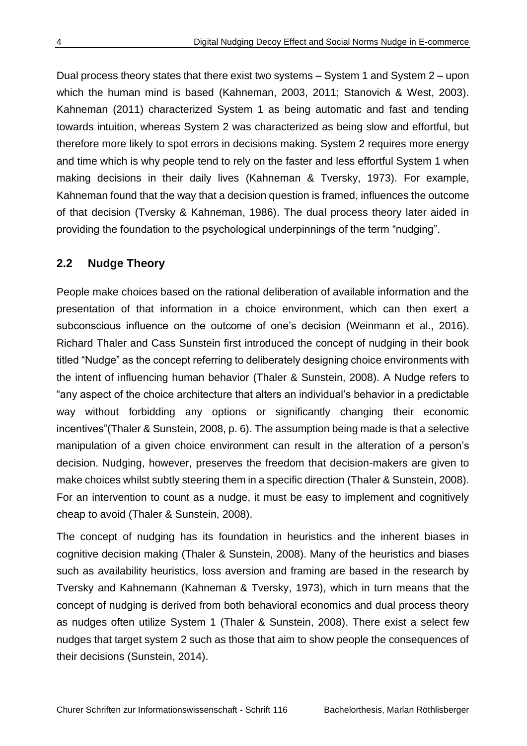Dual process theory states that there exist two systems – System 1 and System 2 – upon which the human mind is based (Kahneman, 2003, 2011; Stanovich & West, 2003). Kahneman (2011) characterized System 1 as being automatic and fast and tending towards intuition, whereas System 2 was characterized as being slow and effortful, but therefore more likely to spot errors in decisions making. System 2 requires more energy and time which is why people tend to rely on the faster and less effortful System 1 when making decisions in their daily lives (Kahneman & Tversky, 1973). For example, Kahneman found that the way that a decision question is framed, influences the outcome of that decision (Tversky & Kahneman, 1986). The dual process theory later aided in providing the foundation to the psychological underpinnings of the term "nudging".

#### <span id="page-11-0"></span>**2.2 Nudge Theory**

People make choices based on the rational deliberation of available information and the presentation of that information in a choice environment, which can then exert a subconscious influence on the outcome of one's decision (Weinmann et al., 2016). Richard Thaler and Cass Sunstein first introduced the concept of nudging in their book titled "Nudge" as the concept referring to deliberately designing choice environments with the intent of influencing human behavior (Thaler & Sunstein, 2008). A Nudge refers to "any aspect of the choice architecture that alters an individual's behavior in a predictable way without forbidding any options or significantly changing their economic incentives"(Thaler & Sunstein, 2008, p. 6). The assumption being made is that a selective manipulation of a given choice environment can result in the alteration of a person's decision. Nudging, however, preserves the freedom that decision-makers are given to make choices whilst subtly steering them in a specific direction (Thaler & Sunstein, 2008). For an intervention to count as a nudge, it must be easy to implement and cognitively cheap to avoid (Thaler & Sunstein, 2008).

The concept of nudging has its foundation in heuristics and the inherent biases in cognitive decision making (Thaler & Sunstein, 2008). Many of the heuristics and biases such as availability heuristics, loss aversion and framing are based in the research by Tversky and Kahnemann (Kahneman & Tversky, 1973), which in turn means that the concept of nudging is derived from both behavioral economics and dual process theory as nudges often utilize System 1 (Thaler & Sunstein, 2008). There exist a select few nudges that target system 2 such as those that aim to show people the consequences of their decisions (Sunstein, 2014).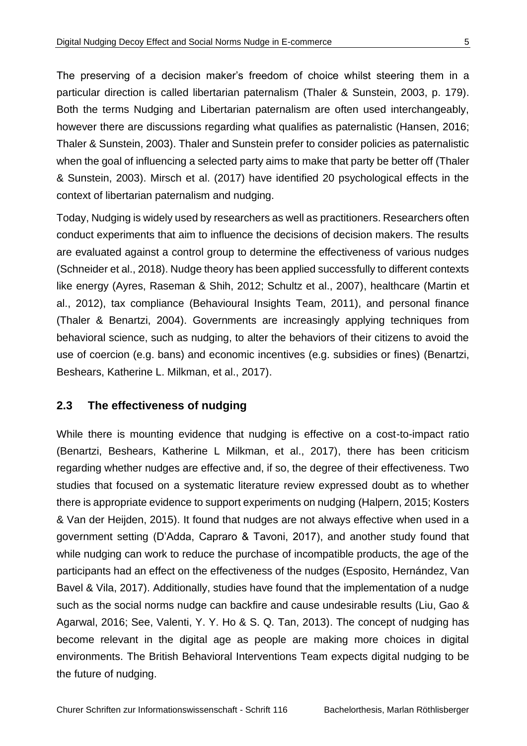The preserving of a decision maker's freedom of choice whilst steering them in a particular direction is called libertarian paternalism (Thaler & Sunstein, 2003, p. 179). Both the terms Nudging and Libertarian paternalism are often used interchangeably, however there are discussions regarding what qualifies as paternalistic (Hansen, 2016; Thaler & Sunstein, 2003). Thaler and Sunstein prefer to consider policies as paternalistic when the goal of influencing a selected party aims to make that party be better off (Thaler & Sunstein, 2003). Mirsch et al. (2017) have identified 20 psychological effects in the context of libertarian paternalism and nudging.

Today, Nudging is widely used by researchers as well as practitioners. Researchers often conduct experiments that aim to influence the decisions of decision makers. The results are evaluated against a control group to determine the effectiveness of various nudges (Schneider et al., 2018). Nudge theory has been applied successfully to different contexts like energy (Ayres, Raseman & Shih, 2012; Schultz et al., 2007), healthcare (Martin et al., 2012), tax compliance (Behavioural Insights Team, 2011), and personal finance (Thaler & Benartzi, 2004). Governments are increasingly applying techniques from behavioral science, such as nudging, to alter the behaviors of their citizens to avoid the use of coercion (e.g. bans) and economic incentives (e.g. subsidies or fines) (Benartzi, Beshears, Katherine L. Milkman, et al., 2017).

#### <span id="page-12-0"></span>**2.3 The effectiveness of nudging**

While there is mounting evidence that nudging is effective on a cost-to-impact ratio (Benartzi, Beshears, Katherine L Milkman, et al., 2017), there has been criticism regarding whether nudges are effective and, if so, the degree of their effectiveness. Two studies that focused on a systematic literature review expressed doubt as to whether there is appropriate evidence to support experiments on nudging (Halpern, 2015; Kosters & Van der Heijden, 2015). It found that nudges are not always effective when used in a government setting (D'Adda, Capraro & Tavoni, 2017), and another study found that while nudging can work to reduce the purchase of incompatible products, the age of the participants had an effect on the effectiveness of the nudges (Esposito, Hernández, Van Bavel & Vila, 2017). Additionally, studies have found that the implementation of a nudge such as the social norms nudge can backfire and cause undesirable results (Liu, Gao & Agarwal, 2016; See, Valenti, Y. Y. Ho & S. Q. Tan, 2013). The concept of nudging has become relevant in the digital age as people are making more choices in digital environments. The British Behavioral Interventions Team expects digital nudging to be the future of nudging.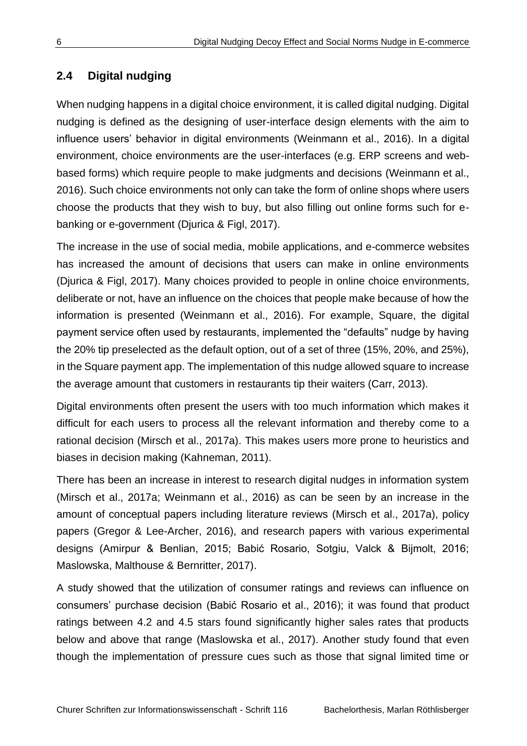## <span id="page-13-0"></span>**2.4 Digital nudging**

When nudging happens in a digital choice environment, it is called digital nudging. Digital nudging is defined as the designing of user-interface design elements with the aim to influence users' behavior in digital environments (Weinmann et al., 2016). In a digital environment, choice environments are the user-interfaces (e.g. ERP screens and webbased forms) which require people to make judgments and decisions (Weinmann et al., 2016). Such choice environments not only can take the form of online shops where users choose the products that they wish to buy, but also filling out online forms such for ebanking or e-government (Djurica & Figl, 2017).

The increase in the use of social media, mobile applications, and e-commerce websites has increased the amount of decisions that users can make in online environments (Djurica & Figl, 2017). Many choices provided to people in online choice environments, deliberate or not, have an influence on the choices that people make because of how the information is presented (Weinmann et al., 2016). For example, Square, the digital payment service often used by restaurants, implemented the "defaults" nudge by having the 20% tip preselected as the default option, out of a set of three (15%, 20%, and 25%), in the Square payment app. The implementation of this nudge allowed square to increase the average amount that customers in restaurants tip their waiters (Carr, 2013).

Digital environments often present the users with too much information which makes it difficult for each users to process all the relevant information and thereby come to a rational decision (Mirsch et al., 2017a). This makes users more prone to heuristics and biases in decision making (Kahneman, 2011).

There has been an increase in interest to research digital nudges in information system (Mirsch et al., 2017a; Weinmann et al., 2016) as can be seen by an increase in the amount of conceptual papers including literature reviews (Mirsch et al., 2017a), policy papers (Gregor & Lee-Archer, 2016), and research papers with various experimental designs (Amirpur & Benlian, 2015; Babić Rosario, Sotgiu, Valck & Bijmolt, 2016; Maslowska, Malthouse & Bernritter, 2017).

A study showed that the utilization of consumer ratings and reviews can influence on consumers' purchase decision (Babić Rosario et al., 2016); it was found that product ratings between 4.2 and 4.5 stars found significantly higher sales rates that products below and above that range (Maslowska et al., 2017). Another study found that even though the implementation of pressure cues such as those that signal limited time or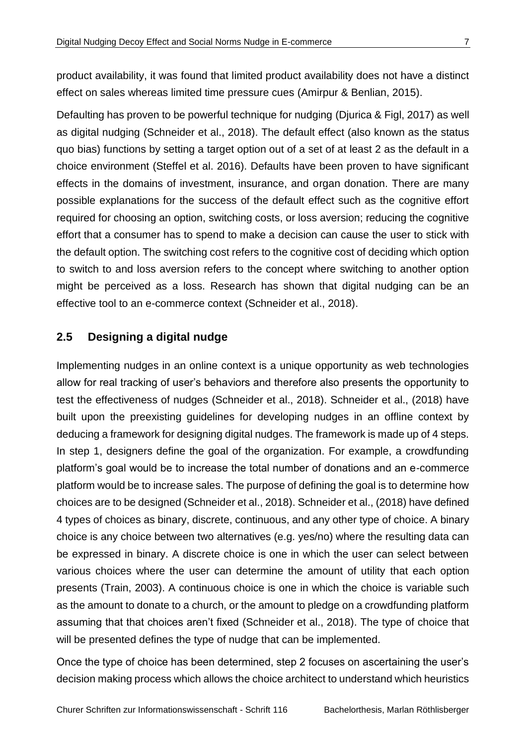product availability, it was found that limited product availability does not have a distinct effect on sales whereas limited time pressure cues (Amirpur & Benlian, 2015).

Defaulting has proven to be powerful technique for nudging (Djurica & Figl, 2017) as well as digital nudging (Schneider et al., 2018). The default effect (also known as the status quo bias) functions by setting a target option out of a set of at least 2 as the default in a choice environment (Steffel et al. 2016). Defaults have been proven to have significant effects in the domains of investment, insurance, and organ donation. There are many possible explanations for the success of the default effect such as the cognitive effort required for choosing an option, switching costs, or loss aversion; reducing the cognitive effort that a consumer has to spend to make a decision can cause the user to stick with the default option. The switching cost refers to the cognitive cost of deciding which option to switch to and loss aversion refers to the concept where switching to another option might be perceived as a loss. Research has shown that digital nudging can be an effective tool to an e-commerce context (Schneider et al., 2018).

#### <span id="page-14-0"></span>**2.5 Designing a digital nudge**

Implementing nudges in an online context is a unique opportunity as web technologies allow for real tracking of user's behaviors and therefore also presents the opportunity to test the effectiveness of nudges (Schneider et al., 2018). Schneider et al., (2018) have built upon the preexisting guidelines for developing nudges in an offline context by deducing a framework for designing digital nudges. The framework is made up of 4 steps. In step 1, designers define the goal of the organization. For example, a crowdfunding platform's goal would be to increase the total number of donations and an e-commerce platform would be to increase sales. The purpose of defining the goal is to determine how choices are to be designed (Schneider et al., 2018). Schneider et al., (2018) have defined 4 types of choices as binary, discrete, continuous, and any other type of choice. A binary choice is any choice between two alternatives (e.g. yes/no) where the resulting data can be expressed in binary. A discrete choice is one in which the user can select between various choices where the user can determine the amount of utility that each option presents (Train, 2003). A continuous choice is one in which the choice is variable such as the amount to donate to a church, or the amount to pledge on a crowdfunding platform assuming that that choices aren't fixed (Schneider et al., 2018). The type of choice that will be presented defines the type of nudge that can be implemented.

Once the type of choice has been determined, step 2 focuses on ascertaining the user's decision making process which allows the choice architect to understand which heuristics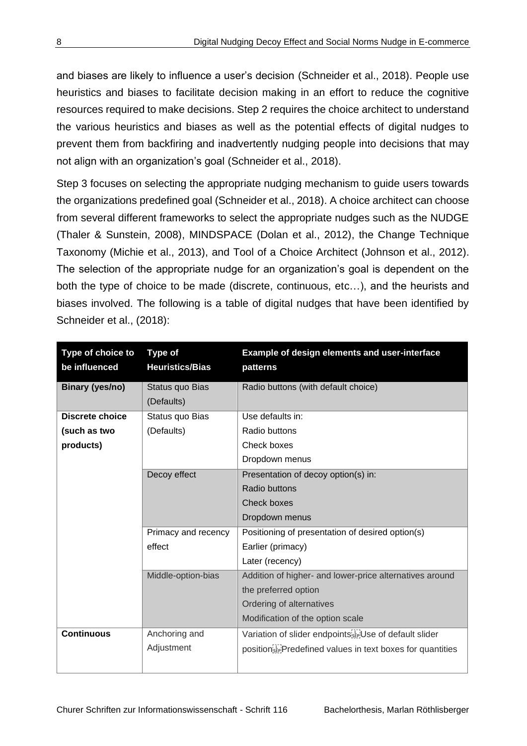and biases are likely to influence a user's decision (Schneider et al., 2018). People use heuristics and biases to facilitate decision making in an effort to reduce the cognitive resources required to make decisions. Step 2 requires the choice architect to understand the various heuristics and biases as well as the potential effects of digital nudges to prevent them from backfiring and inadvertently nudging people into decisions that may not align with an organization's goal (Schneider et al., 2018).

Step 3 focuses on selecting the appropriate nudging mechanism to guide users towards the organizations predefined goal (Schneider et al., 2018). A choice architect can choose from several different frameworks to select the appropriate nudges such as the NUDGE (Thaler & Sunstein, 2008), MINDSPACE (Dolan et al., 2012), the Change Technique Taxonomy (Michie et al., 2013), and Tool of a Choice Architect (Johnson et al., 2012). The selection of the appropriate nudge for an organization's goal is dependent on the both the type of choice to be made (discrete, continuous, etc…), and the heurists and biases involved. The following is a table of digital nudges that have been identified by Schneider et al., (2018):

| Type of choice to<br>be influenced | <b>Type of</b><br><b>Heuristics/Bias</b> | Example of design elements and user-interface<br>patterns                             |
|------------------------------------|------------------------------------------|---------------------------------------------------------------------------------------|
| <b>Binary (yes/no)</b>             | Status quo Bias                          | Radio buttons (with default choice)                                                   |
| <b>Discrete choice</b>             | (Defaults)                               | Use defaults in:                                                                      |
|                                    | Status quo Bias                          |                                                                                       |
| (such as two                       | (Defaults)                               | Radio buttons                                                                         |
| products)                          |                                          | Check boxes                                                                           |
|                                    |                                          | Dropdown menus                                                                        |
|                                    | Decoy effect                             | Presentation of decoy option(s) in:                                                   |
|                                    |                                          | Radio buttons                                                                         |
|                                    |                                          | Check boxes                                                                           |
|                                    |                                          | Dropdown menus                                                                        |
|                                    | Primacy and recency                      | Positioning of presentation of desired option(s)                                      |
| effect                             |                                          | Earlier (primacy)                                                                     |
|                                    |                                          | Later (recency)                                                                       |
|                                    | Middle-option-bias                       | Addition of higher- and lower-price alternatives around                               |
|                                    |                                          | the preferred option                                                                  |
|                                    |                                          | Ordering of alternatives                                                              |
|                                    |                                          | Modification of the option scale                                                      |
| <b>Continuous</b>                  | Anchoring and                            | Variation of slider endpoints <b>ED</b> Use of default slider                         |
|                                    | Adjustment                               | position <sup>[1]</sup> <sub>SEP</sub> Predefined values in text boxes for quantities |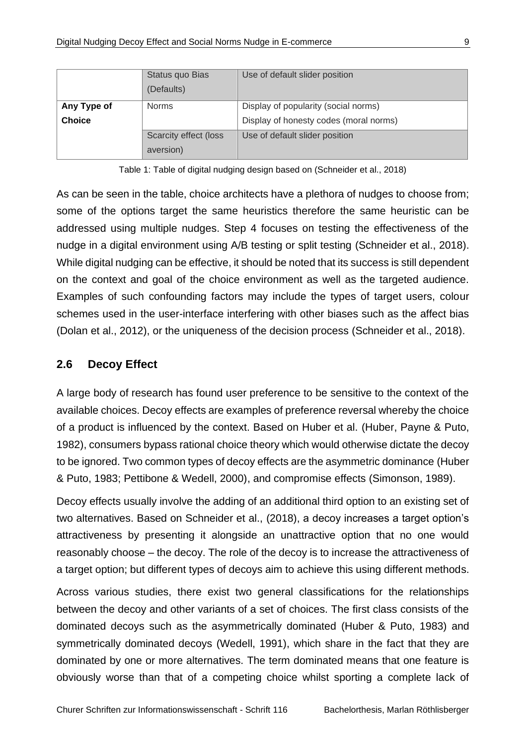|                                              | Status quo Bias<br>(Defaults)      | Use of default slider position                                                 |  |  |
|----------------------------------------------|------------------------------------|--------------------------------------------------------------------------------|--|--|
| Any Type of<br><b>Norms</b><br><b>Choice</b> |                                    | Display of popularity (social norms)<br>Display of honesty codes (moral norms) |  |  |
|                                              | Scarcity effect (loss<br>aversion) | Use of default slider position                                                 |  |  |

Table 1: Table of digital nudging design based on (Schneider et al., 2018)

<span id="page-16-1"></span>As can be seen in the table, choice architects have a plethora of nudges to choose from; some of the options target the same heuristics therefore the same heuristic can be addressed using multiple nudges. Step 4 focuses on testing the effectiveness of the nudge in a digital environment using A/B testing or split testing (Schneider et al., 2018). While digital nudging can be effective, it should be noted that its success is still dependent on the context and goal of the choice environment as well as the targeted audience. Examples of such confounding factors may include the types of target users, colour schemes used in the user-interface interfering with other biases such as the affect bias (Dolan et al., 2012), or the uniqueness of the decision process (Schneider et al., 2018).

#### <span id="page-16-0"></span>**2.6 Decoy Effect**

A large body of research has found user preference to be sensitive to the context of the available choices. Decoy effects are examples of preference reversal whereby the choice of a product is influenced by the context. Based on Huber et al. (Huber, Payne & Puto, 1982), consumers bypass rational choice theory which would otherwise dictate the decoy to be ignored. Two common types of decoy effects are the asymmetric dominance (Huber & Puto, 1983; Pettibone & Wedell, 2000), and compromise effects (Simonson, 1989).

Decoy effects usually involve the adding of an additional third option to an existing set of two alternatives. Based on Schneider et al., (2018), a decoy increases a target option's attractiveness by presenting it alongside an unattractive option that no one would reasonably choose – the decoy. The role of the decoy is to increase the attractiveness of a target option; but different types of decoys aim to achieve this using different methods.

Across various studies, there exist two general classifications for the relationships between the decoy and other variants of a set of choices. The first class consists of the dominated decoys such as the asymmetrically dominated (Huber & Puto, 1983) and symmetrically dominated decoys (Wedell, 1991), which share in the fact that they are dominated by one or more alternatives. The term dominated means that one feature is obviously worse than that of a competing choice whilst sporting a complete lack of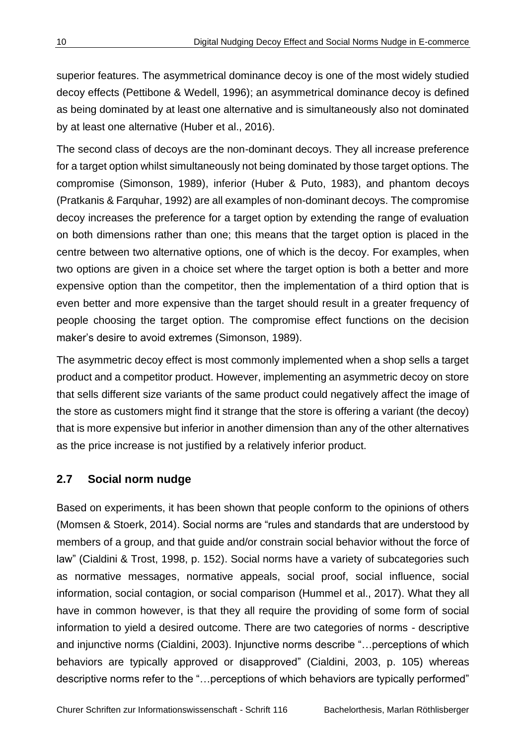superior features. The asymmetrical dominance decoy is one of the most widely studied decoy effects (Pettibone & Wedell, 1996); an asymmetrical dominance decoy is defined as being dominated by at least one alternative and is simultaneously also not dominated by at least one alternative (Huber et al., 2016).

The second class of decoys are the non-dominant decoys. They all increase preference for a target option whilst simultaneously not being dominated by those target options. The compromise (Simonson, 1989), inferior (Huber & Puto, 1983), and phantom decoys (Pratkanis & Farquhar, 1992) are all examples of non-dominant decoys. The compromise decoy increases the preference for a target option by extending the range of evaluation on both dimensions rather than one; this means that the target option is placed in the centre between two alternative options, one of which is the decoy. For examples, when two options are given in a choice set where the target option is both a better and more expensive option than the competitor, then the implementation of a third option that is even better and more expensive than the target should result in a greater frequency of people choosing the target option. The compromise effect functions on the decision maker's desire to avoid extremes (Simonson, 1989).

The asymmetric decoy effect is most commonly implemented when a shop sells a target product and a competitor product. However, implementing an asymmetric decoy on store that sells different size variants of the same product could negatively affect the image of the store as customers might find it strange that the store is offering a variant (the decoy) that is more expensive but inferior in another dimension than any of the other alternatives as the price increase is not justified by a relatively inferior product.

#### <span id="page-17-0"></span>**2.7 Social norm nudge**

Based on experiments, it has been shown that people conform to the opinions of others (Momsen & Stoerk, 2014). Social norms are "rules and standards that are understood by members of a group, and that guide and/or constrain social behavior without the force of law" (Cialdini & Trost, 1998, p. 152). Social norms have a variety of subcategories such as normative messages, normative appeals, social proof, social influence, social information, social contagion, or social comparison (Hummel et al., 2017). What they all have in common however, is that they all require the providing of some form of social information to yield a desired outcome. There are two categories of norms - descriptive and injunctive norms (Cialdini, 2003). Injunctive norms describe "…perceptions of which behaviors are typically approved or disapproved" (Cialdini, 2003, p. 105) whereas descriptive norms refer to the "…perceptions of which behaviors are typically performed"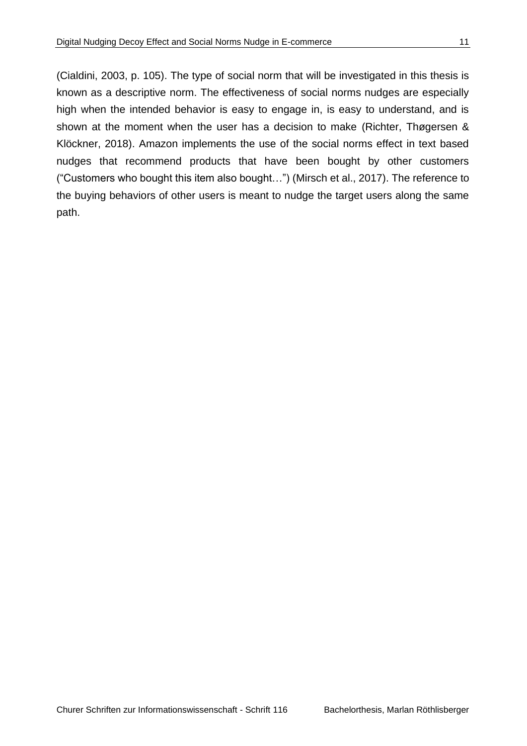(Cialdini, 2003, p. 105). The type of social norm that will be investigated in this thesis is known as a descriptive norm. The effectiveness of social norms nudges are especially high when the intended behavior is easy to engage in, is easy to understand, and is shown at the moment when the user has a decision to make (Richter, Thøgersen & Klöckner, 2018). Amazon implements the use of the social norms effect in text based nudges that recommend products that have been bought by other customers ("Customers who bought this item also bought…") (Mirsch et al., 2017). The reference to the buying behaviors of other users is meant to nudge the target users along the same path.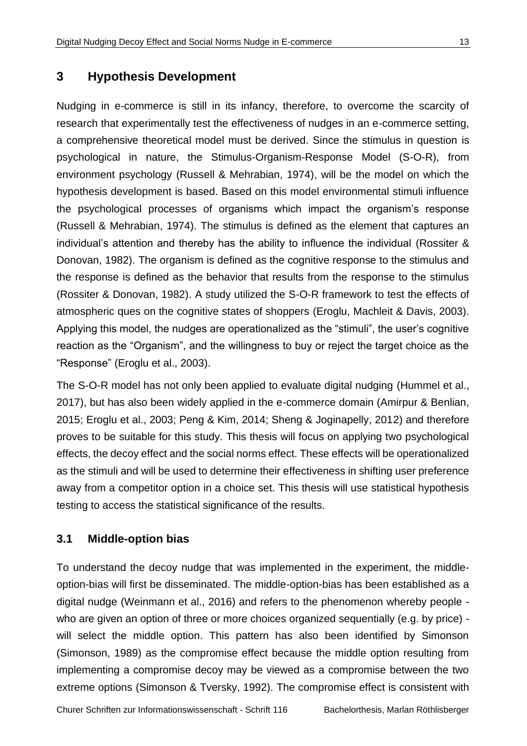#### <span id="page-20-0"></span>**3 Hypothesis Development**

Nudging in e-commerce is still in its infancy, therefore, to overcome the scarcity of research that experimentally test the effectiveness of nudges in an e-commerce setting, a comprehensive theoretical model must be derived. Since the stimulus in question is psychological in nature, the Stimulus-Organism-Response Model (S-O-R), from environment psychology (Russell & Mehrabian, 1974), will be the model on which the hypothesis development is based. Based on this model environmental stimuli influence the psychological processes of organisms which impact the organism's response (Russell & Mehrabian, 1974). The stimulus is defined as the element that captures an individual's attention and thereby has the ability to influence the individual (Rossiter & Donovan, 1982). The organism is defined as the cognitive response to the stimulus and the response is defined as the behavior that results from the response to the stimulus (Rossiter & Donovan, 1982). A study utilized the S-O-R framework to test the effects of atmospheric ques on the cognitive states of shoppers (Eroglu, Machleit & Davis, 2003). Applying this model, the nudges are operationalized as the "stimuli", the user's cognitive reaction as the "Organism", and the willingness to buy or reject the target choice as the "Response" (Eroglu et al., 2003).

The S-O-R model has not only been applied to evaluate digital nudging (Hummel et al., 2017), but has also been widely applied in the e-commerce domain (Amirpur & Benlian, 2015; Eroglu et al., 2003; Peng & Kim, 2014; Sheng & Joginapelly, 2012) and therefore proves to be suitable for this study. This thesis will focus on applying two psychological effects, the decoy effect and the social norms effect. These effects will be operationalized as the stimuli and will be used to determine their effectiveness in shifting user preference away from a competitor option in a choice set. This thesis will use statistical hypothesis testing to access the statistical significance of the results.

#### <span id="page-20-1"></span>**3.1 Middle-option bias**

To understand the decoy nudge that was implemented in the experiment, the middleoption-bias will first be disseminated. The middle-option-bias has been established as a digital nudge (Weinmann et al., 2016) and refers to the phenomenon whereby people who are given an option of three or more choices organized sequentially (e.g. by price) will select the middle option. This pattern has also been identified by Simonson (Simonson, 1989) as the compromise effect because the middle option resulting from implementing a compromise decoy may be viewed as a compromise between the two extreme options (Simonson & Tversky, 1992). The compromise effect is consistent with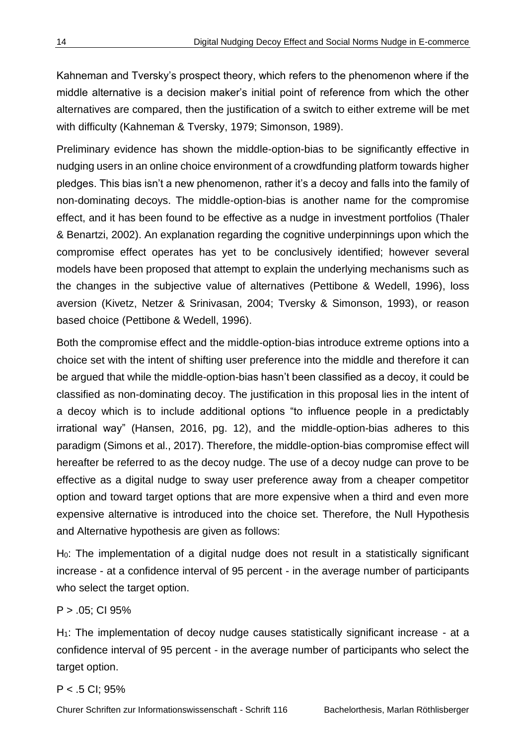Kahneman and Tversky's prospect theory, which refers to the phenomenon where if the middle alternative is a decision maker's initial point of reference from which the other alternatives are compared, then the justification of a switch to either extreme will be met with difficulty (Kahneman & Tversky, 1979; Simonson, 1989).

Preliminary evidence has shown the middle-option-bias to be significantly effective in nudging users in an online choice environment of a crowdfunding platform towards higher pledges. This bias isn't a new phenomenon, rather it's a decoy and falls into the family of non-dominating decoys. The middle-option-bias is another name for the compromise effect, and it has been found to be effective as a nudge in investment portfolios (Thaler & Benartzi, 2002). An explanation regarding the cognitive underpinnings upon which the compromise effect operates has yet to be conclusively identified; however several models have been proposed that attempt to explain the underlying mechanisms such as the changes in the subjective value of alternatives (Pettibone & Wedell, 1996), loss aversion (Kivetz, Netzer & Srinivasan, 2004; Tversky & Simonson, 1993), or reason based choice (Pettibone & Wedell, 1996).

Both the compromise effect and the middle-option-bias introduce extreme options into a choice set with the intent of shifting user preference into the middle and therefore it can be argued that while the middle-option-bias hasn't been classified as a decoy, it could be classified as non-dominating decoy. The justification in this proposal lies in the intent of a decoy which is to include additional options "to influence people in a predictably irrational way" (Hansen, 2016, pg. 12), and the middle-option-bias adheres to this paradigm (Simons et al., 2017). Therefore, the middle-option-bias compromise effect will hereafter be referred to as the decoy nudge. The use of a decoy nudge can prove to be effective as a digital nudge to sway user preference away from a cheaper competitor option and toward target options that are more expensive when a third and even more expensive alternative is introduced into the choice set. Therefore, the Null Hypothesis and Alternative hypothesis are given as follows:

H0: The implementation of a digital nudge does not result in a statistically significant increase - at a confidence interval of 95 percent - in the average number of participants who select the target option.

P > .05; CI 95%

H<sub>1</sub>: The implementation of decoy nudge causes statistically significant increase - at a confidence interval of 95 percent - in the average number of participants who select the target option.

P < .5 CI; 95%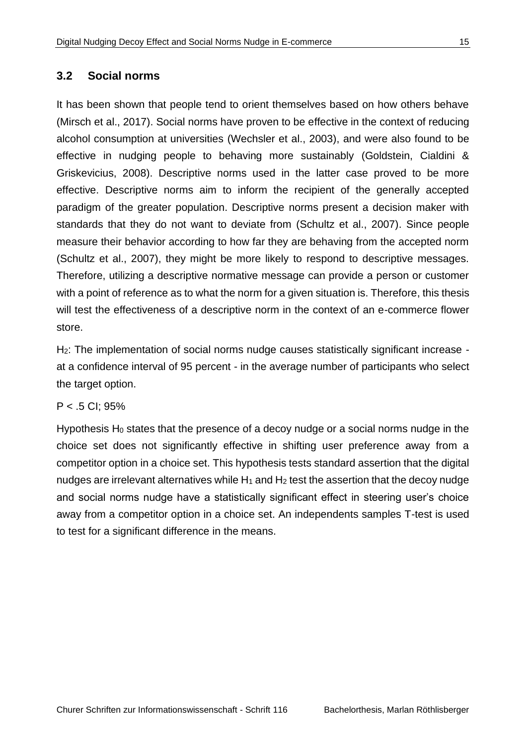#### <span id="page-22-0"></span>**3.2 Social norms**

It has been shown that people tend to orient themselves based on how others behave (Mirsch et al., 2017). Social norms have proven to be effective in the context of reducing alcohol consumption at universities (Wechsler et al., 2003), and were also found to be effective in nudging people to behaving more sustainably (Goldstein, Cialdini & Griskevicius, 2008). Descriptive norms used in the latter case proved to be more effective. Descriptive norms aim to inform the recipient of the generally accepted paradigm of the greater population. Descriptive norms present a decision maker with standards that they do not want to deviate from (Schultz et al., 2007). Since people measure their behavior according to how far they are behaving from the accepted norm (Schultz et al., 2007), they might be more likely to respond to descriptive messages. Therefore, utilizing a descriptive normative message can provide a person or customer with a point of reference as to what the norm for a given situation is. Therefore, this thesis will test the effectiveness of a descriptive norm in the context of an e-commerce flower store.

H<sub>2</sub>: The implementation of social norms nudge causes statistically significant increase at a confidence interval of 95 percent - in the average number of participants who select the target option.

#### P < .5 CI; 95%

Hypothesis  $H_0$  states that the presence of a decoy nudge or a social norms nudge in the choice set does not significantly effective in shifting user preference away from a competitor option in a choice set. This hypothesis tests standard assertion that the digital nudges are irrelevant alternatives while  $H_1$  and  $H_2$  test the assertion that the decoy nudge and social norms nudge have a statistically significant effect in steering user's choice away from a competitor option in a choice set. An independents samples T-test is used to test for a significant difference in the means.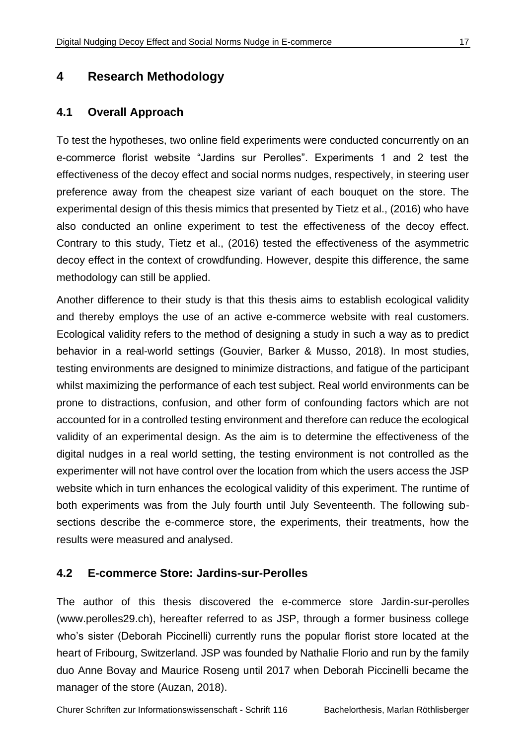## <span id="page-24-0"></span>**4 Research Methodology**

#### <span id="page-24-1"></span>**4.1 Overall Approach**

To test the hypotheses, two online field experiments were conducted concurrently on an e-commerce florist website "Jardins sur Perolles". Experiments 1 and 2 test the effectiveness of the decoy effect and social norms nudges, respectively, in steering user preference away from the cheapest size variant of each bouquet on the store. The experimental design of this thesis mimics that presented by Tietz et al., (2016) who have also conducted an online experiment to test the effectiveness of the decoy effect. Contrary to this study, Tietz et al., (2016) tested the effectiveness of the asymmetric decoy effect in the context of crowdfunding. However, despite this difference, the same methodology can still be applied.

Another difference to their study is that this thesis aims to establish ecological validity and thereby employs the use of an active e-commerce website with real customers. Ecological validity refers to the method of designing a study in such a way as to predict behavior in a real-world settings (Gouvier, Barker & Musso, 2018). In most studies, testing environments are designed to minimize distractions, and fatigue of the participant whilst maximizing the performance of each test subject. Real world environments can be prone to distractions, confusion, and other form of confounding factors which are not accounted for in a controlled testing environment and therefore can reduce the ecological validity of an experimental design. As the aim is to determine the effectiveness of the digital nudges in a real world setting, the testing environment is not controlled as the experimenter will not have control over the location from which the users access the JSP website which in turn enhances the ecological validity of this experiment. The runtime of both experiments was from the July fourth until July Seventeenth. The following subsections describe the e-commerce store, the experiments, their treatments, how the results were measured and analysed.

#### <span id="page-24-2"></span>**4.2 E-commerce Store: Jardins-sur-Perolles**

The author of this thesis discovered the e-commerce store Jardin-sur-perolles [\(www.perolles29.ch\)](http://www.perolles29.ch/), hereafter referred to as JSP, through a former business college who's sister (Deborah Piccinelli) currently runs the popular florist store located at the heart of Fribourg, Switzerland. JSP was founded by Nathalie Florio and run by the family duo Anne Bovay and Maurice Roseng until 2017 when Deborah Piccinelli became the manager of the store (Auzan, 2018).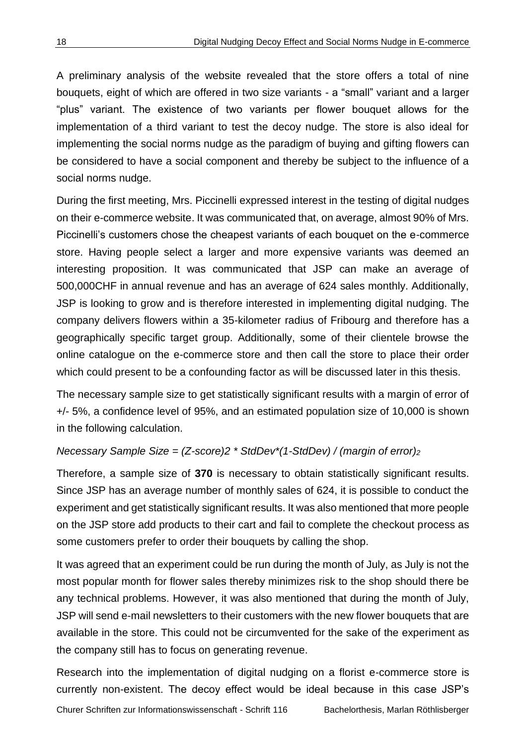A preliminary analysis of the website revealed that the store offers a total of nine bouquets, eight of which are offered in two size variants - a "small" variant and a larger "plus" variant. The existence of two variants per flower bouquet allows for the implementation of a third variant to test the decoy nudge. The store is also ideal for implementing the social norms nudge as the paradigm of buying and gifting flowers can be considered to have a social component and thereby be subject to the influence of a social norms nudge.

During the first meeting, Mrs. Piccinelli expressed interest in the testing of digital nudges on their e-commerce website. It was communicated that, on average, almost 90% of Mrs. Piccinelli's customers chose the cheapest variants of each bouquet on the e-commerce store. Having people select a larger and more expensive variants was deemed an interesting proposition. It was communicated that JSP can make an average of 500,000CHF in annual revenue and has an average of 624 sales monthly. Additionally, JSP is looking to grow and is therefore interested in implementing digital nudging. The company delivers flowers within a 35-kilometer radius of Fribourg and therefore has a geographically specific target group. Additionally, some of their clientele browse the online catalogue on the e-commerce store and then call the store to place their order which could present to be a confounding factor as will be discussed later in this thesis.

The necessary sample size to get statistically significant results with a margin of error of +/- 5%, a confidence level of 95%, and an estimated population size of 10,000 is shown in the following calculation.

#### *Necessary Sample Size = (Z-score)2 \* StdDev\*(1-StdDev) / (margin of error)<sup>2</sup>*

Therefore, a sample size of **370** is necessary to obtain statistically significant results. Since JSP has an average number of monthly sales of 624, it is possible to conduct the experiment and get statistically significant results. It was also mentioned that more people on the JSP store add products to their cart and fail to complete the checkout process as some customers prefer to order their bouquets by calling the shop.

It was agreed that an experiment could be run during the month of July, as July is not the most popular month for flower sales thereby minimizes risk to the shop should there be any technical problems. However, it was also mentioned that during the month of July, JSP will send e-mail newsletters to their customers with the new flower bouquets that are available in the store. This could not be circumvented for the sake of the experiment as the company still has to focus on generating revenue.

Research into the implementation of digital nudging on a florist e-commerce store is currently non-existent. The decoy effect would be ideal because in this case JSP's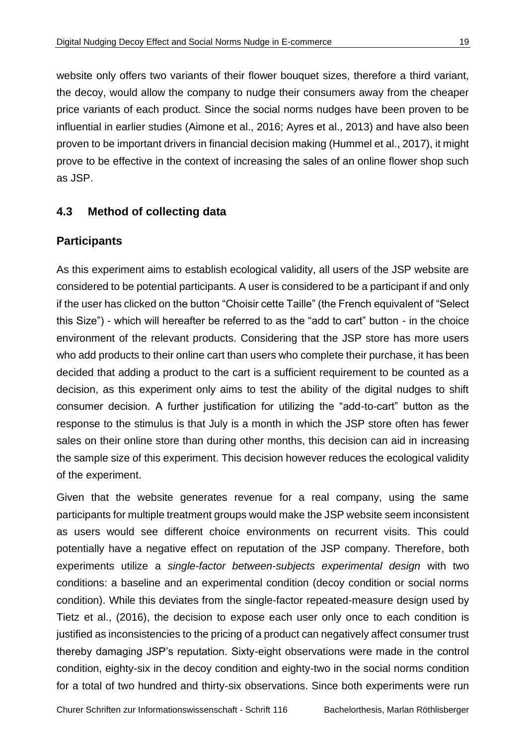website only offers two variants of their flower bouquet sizes, therefore a third variant, the decoy, would allow the company to nudge their consumers away from the cheaper price variants of each product. Since the social norms nudges have been proven to be influential in earlier studies (Aimone et al., 2016; Ayres et al., 2013) and have also been proven to be important drivers in financial decision making (Hummel et al., 2017), it might prove to be effective in the context of increasing the sales of an online flower shop such as JSP.

#### <span id="page-26-0"></span>**4.3 Method of collecting data**

#### **Participants**

As this experiment aims to establish ecological validity, all users of the JSP website are considered to be potential participants. A user is considered to be a participant if and only if the user has clicked on the button "Choisir cette Taille" (the French equivalent of "Select this Size") - which will hereafter be referred to as the "add to cart" button - in the choice environment of the relevant products. Considering that the JSP store has more users who add products to their online cart than users who complete their purchase, it has been decided that adding a product to the cart is a sufficient requirement to be counted as a decision, as this experiment only aims to test the ability of the digital nudges to shift consumer decision. A further justification for utilizing the "add-to-cart" button as the response to the stimulus is that July is a month in which the JSP store often has fewer sales on their online store than during other months, this decision can aid in increasing the sample size of this experiment. This decision however reduces the ecological validity of the experiment.

Given that the website generates revenue for a real company, using the same participants for multiple treatment groups would make the JSP website seem inconsistent as users would see different choice environments on recurrent visits. This could potentially have a negative effect on reputation of the JSP company. Therefore, both experiments utilize a *single-factor between-subjects experimental design* with two conditions: a baseline and an experimental condition (decoy condition or social norms condition). While this deviates from the single-factor repeated-measure design used by Tietz et al., (2016), the decision to expose each user only once to each condition is justified as inconsistencies to the pricing of a product can negatively affect consumer trust thereby damaging JSP's reputation. Sixty-eight observations were made in the control condition, eighty-six in the decoy condition and eighty-two in the social norms condition for a total of two hundred and thirty-six observations. Since both experiments were run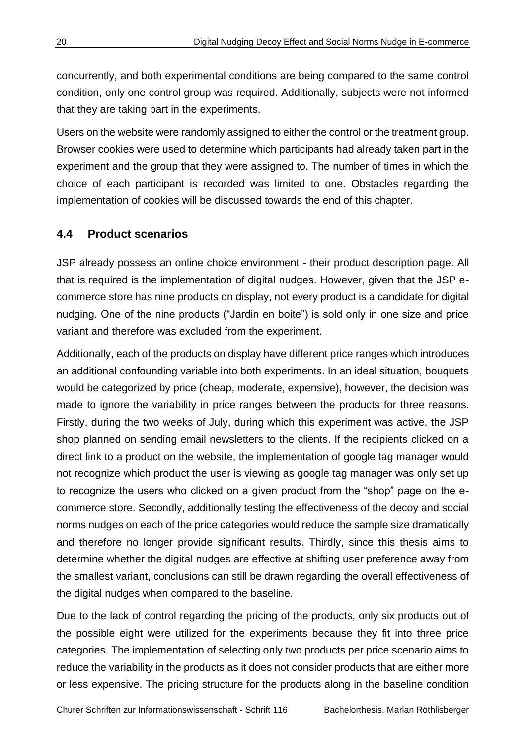concurrently, and both experimental conditions are being compared to the same control condition, only one control group was required. Additionally, subjects were not informed that they are taking part in the experiments.

Users on the website were randomly assigned to either the control or the treatment group. Browser cookies were used to determine which participants had already taken part in the experiment and the group that they were assigned to. The number of times in which the choice of each participant is recorded was limited to one. Obstacles regarding the implementation of cookies will be discussed towards the end of this chapter.

#### <span id="page-27-0"></span>**4.4 Product scenarios**

JSP already possess an online choice environment - their product description page. All that is required is the implementation of digital nudges. However, given that the JSP ecommerce store has nine products on display, not every product is a candidate for digital nudging. One of the nine products ("Jardin en boite") is sold only in one size and price variant and therefore was excluded from the experiment.

Additionally, each of the products on display have different price ranges which introduces an additional confounding variable into both experiments. In an ideal situation, bouquets would be categorized by price (cheap, moderate, expensive), however, the decision was made to ignore the variability in price ranges between the products for three reasons. Firstly, during the two weeks of July, during which this experiment was active, the JSP shop planned on sending email newsletters to the clients. If the recipients clicked on a direct link to a product on the website, the implementation of google tag manager would not recognize which product the user is viewing as google tag manager was only set up to recognize the users who clicked on a given product from the "shop" page on the ecommerce store. Secondly, additionally testing the effectiveness of the decoy and social norms nudges on each of the price categories would reduce the sample size dramatically and therefore no longer provide significant results. Thirdly, since this thesis aims to determine whether the digital nudges are effective at shifting user preference away from the smallest variant, conclusions can still be drawn regarding the overall effectiveness of the digital nudges when compared to the baseline.

Due to the lack of control regarding the pricing of the products, only six products out of the possible eight were utilized for the experiments because they fit into three price categories. The implementation of selecting only two products per price scenario aims to reduce the variability in the products as it does not consider products that are either more or less expensive. The pricing structure for the products along in the baseline condition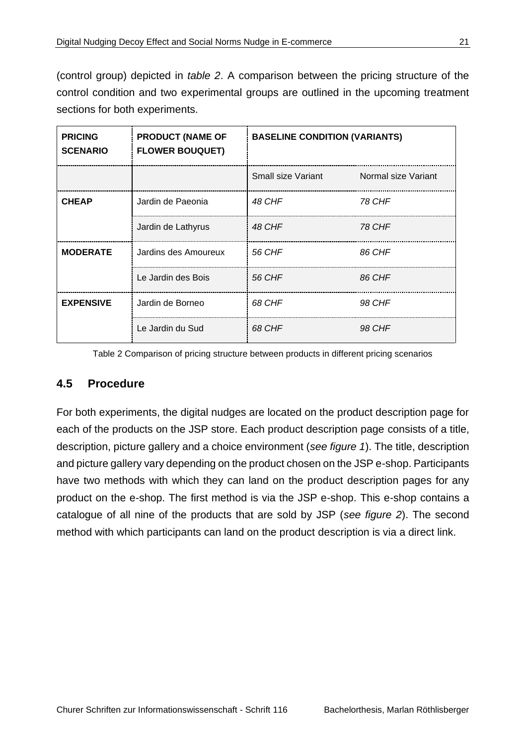(control group) depicted in *table 2*. A comparison between the pricing structure of the control condition and two experimental groups are outlined in the upcoming treatment sections for both experiments.

| <b>PRICING</b><br><b>SCENARIO</b> | <b>PRODUCT (NAME OF</b><br><b>FLOWER BOUQUET)</b> | <b>BASELINE CONDITION (VARIANTS)</b> |                     |
|-----------------------------------|---------------------------------------------------|--------------------------------------|---------------------|
|                                   |                                                   | Small size Variant                   | Normal size Variant |
| <b>CHEAP</b>                      | Jardin de Paeonia                                 | 48 CHF                               | 78 CHF              |
|                                   | Jardin de Lathyrus                                | 48 CHF                               | <b>78 CHF</b>       |
| <b>MODERATE</b>                   | Jardins des Amoureux                              | 56 CHF                               | 86 CHF              |
|                                   | Le Jardin des Bois                                | 56 CHF                               | 86 CHF              |
| <b>EXPENSIVE</b>                  | Jardin de Borneo                                  | 68 CHF                               | 98 CHF              |
|                                   | Le Jardin du Sud                                  | 68 CHF                               | 98 CHF              |

Table 2 Comparison of pricing structure between products in different pricing scenarios

#### <span id="page-28-1"></span><span id="page-28-0"></span>**4.5 Procedure**

For both experiments, the digital nudges are located on the product description page for each of the products on the JSP store. Each product description page consists of a title, description, picture gallery and a choice environment (*see figure 1*). The title, description and picture gallery vary depending on the product chosen on the JSP e-shop. Participants have two methods with which they can land on the product description pages for any product on the e-shop. The first method is via the JSP e-shop. This e-shop contains a catalogue of all nine of the products that are sold by JSP (*see figure 2*). The second method with which participants can land on the product description is via a direct link.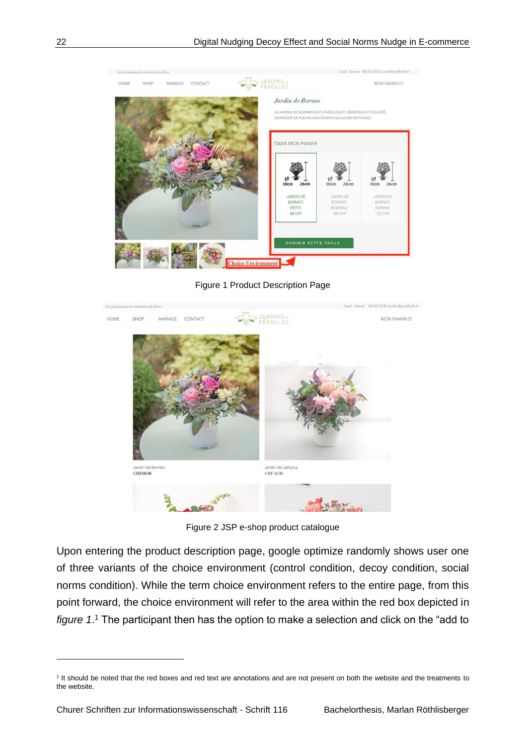

Figure 1 Product Description Page

<span id="page-29-0"></span>

Figure 2 JSP e-shop product catalogue

<span id="page-29-1"></span>Upon entering the product description page, google optimize randomly shows user one of three variants of the choice environment (control condition, decoy condition, social norms condition). While the term choice environment refers to the entire page, from this point forward, the choice environment will refer to the area within the red box depicted in *figure 1*. <sup>1</sup> The participant then has the option to make a selection and click on the "add to

<sup>&</sup>lt;sup>1</sup> It should be noted that the red boxes and red text are annotations and are not present on both the website and the treatments to the website.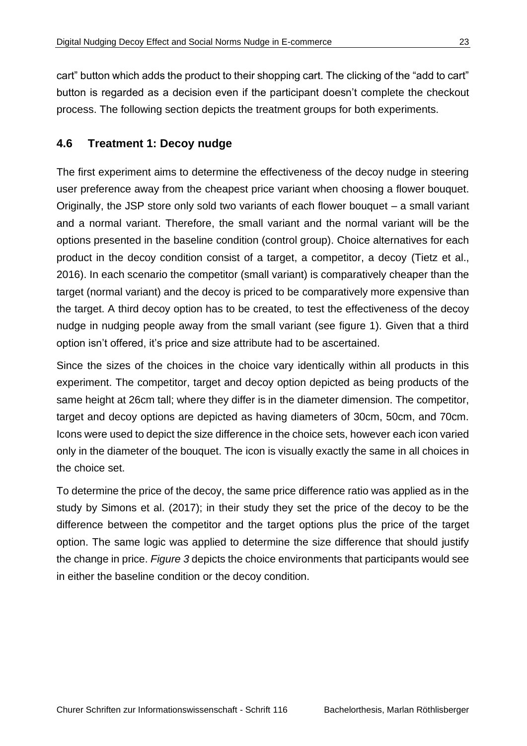cart" button which adds the product to their shopping cart. The clicking of the "add to cart" button is regarded as a decision even if the participant doesn't complete the checkout process. The following section depicts the treatment groups for both experiments.

#### <span id="page-30-0"></span>**4.6 Treatment 1: Decoy nudge**

The first experiment aims to determine the effectiveness of the decoy nudge in steering user preference away from the cheapest price variant when choosing a flower bouquet. Originally, the JSP store only sold two variants of each flower bouquet – a small variant and a normal variant. Therefore, the small variant and the normal variant will be the options presented in the baseline condition (control group). Choice alternatives for each product in the decoy condition consist of a target, a competitor, a decoy (Tietz et al., 2016). In each scenario the competitor (small variant) is comparatively cheaper than the target (normal variant) and the decoy is priced to be comparatively more expensive than the target. A third decoy option has to be created, to test the effectiveness of the decoy nudge in nudging people away from the small variant (see figure 1). Given that a third option isn't offered, it's price and size attribute had to be ascertained.

Since the sizes of the choices in the choice vary identically within all products in this experiment. The competitor, target and decoy option depicted as being products of the same height at 26cm tall; where they differ is in the diameter dimension. The competitor, target and decoy options are depicted as having diameters of 30cm, 50cm, and 70cm. Icons were used to depict the size difference in the choice sets, however each icon varied only in the diameter of the bouquet. The icon is visually exactly the same in all choices in the choice set.

To determine the price of the decoy, the same price difference ratio was applied as in the study by Simons et al. (2017); in their study they set the price of the decoy to be the difference between the competitor and the target options plus the price of the target option. The same logic was applied to determine the size difference that should justify the change in price. *Figure 3* depicts the choice environments that participants would see in either the baseline condition or the decoy condition.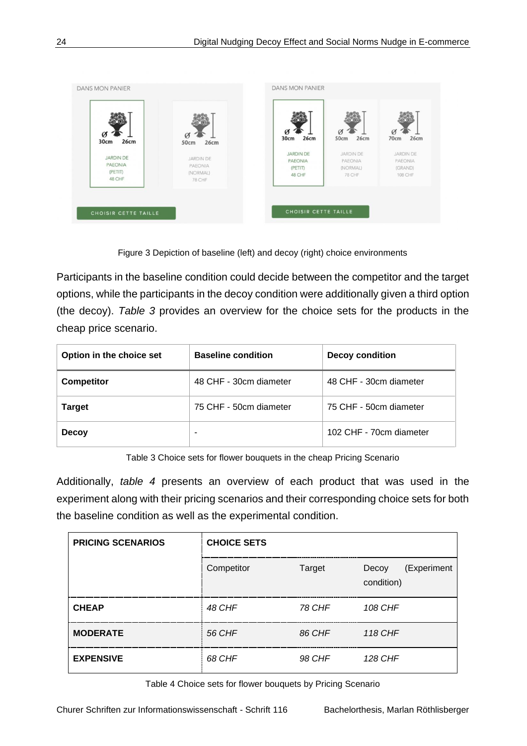

Figure 3 Depiction of baseline (left) and decoy (right) choice environments

<span id="page-31-2"></span>Participants in the baseline condition could decide between the competitor and the target options, while the participants in the decoy condition were additionally given a third option (the decoy). *Table 3* provides an overview for the choice sets for the products in the cheap price scenario.

| Option in the choice set | <b>Baseline condition</b> | <b>Decoy condition</b>  |  |
|--------------------------|---------------------------|-------------------------|--|
| <b>Competitor</b>        | 48 CHF - 30cm diameter    | 48 CHF - 30cm diameter  |  |
| <b>Target</b>            | 75 CHF - 50cm diameter    | 75 CHF - 50cm diameter  |  |
| <b>Decoy</b>             | -                         | 102 CHF - 70cm diameter |  |

Table 3 Choice sets for flower bouquets in the cheap Pricing Scenario

<span id="page-31-0"></span>Additionally, *table 4* presents an overview of each product that was used in the experiment along with their pricing scenarios and their corresponding choice sets for both the baseline condition as well as the experimental condition.

| <b>PRICING SCENARIOS</b> | <b>CHOICE SETS</b> |        |                                    |
|--------------------------|--------------------|--------|------------------------------------|
|                          | Competitor         | Target | (Experiment<br>Decoy<br>condition) |
| <b>CHEAP</b>             | 48 CHF             | 78 CHF | 108 CHF                            |
| <b>MODERATE</b>          | 56 CHF             | 86 CHF | 118 CHF                            |
| <b>EXPENSIVE</b>         | 68 CHF             | 98 CHF | 128 CHF                            |

<span id="page-31-1"></span>Table 4 Choice sets for flower bouquets by Pricing Scenario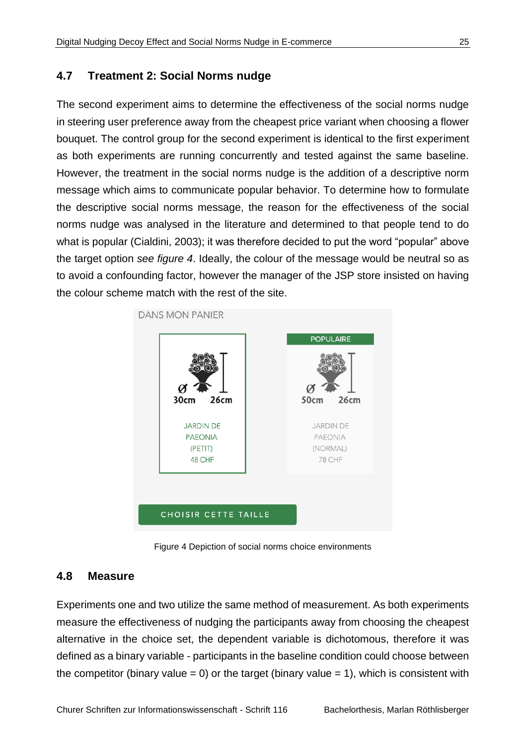#### <span id="page-32-0"></span>**4.7 Treatment 2: Social Norms nudge**

The second experiment aims to determine the effectiveness of the social norms nudge in steering user preference away from the cheapest price variant when choosing a flower bouquet. The control group for the second experiment is identical to the first experiment as both experiments are running concurrently and tested against the same baseline. However, the treatment in the social norms nudge is the addition of a descriptive norm message which aims to communicate popular behavior. To determine how to formulate the descriptive social norms message, the reason for the effectiveness of the social norms nudge was analysed in the literature and determined to that people tend to do what is popular (Cialdini, 2003); it was therefore decided to put the word "popular" above the target option *see figure 4*. Ideally, the colour of the message would be neutral so as to avoid a confounding factor, however the manager of the JSP store insisted on having the colour scheme match with the rest of the site.



Figure 4 Depiction of social norms choice environments

#### <span id="page-32-2"></span><span id="page-32-1"></span>**4.8 Measure**

Experiments one and two utilize the same method of measurement. As both experiments measure the effectiveness of nudging the participants away from choosing the cheapest alternative in the choice set, the dependent variable is dichotomous, therefore it was defined as a binary variable - participants in the baseline condition could choose between the competitor (binary value = 0) or the target (binary value = 1), which is consistent with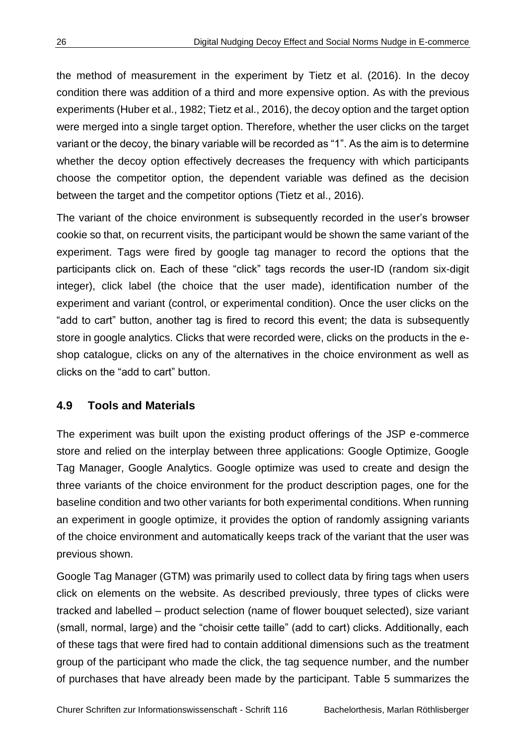the method of measurement in the experiment by Tietz et al. (2016). In the decoy condition there was addition of a third and more expensive option. As with the previous experiments (Huber et al., 1982; Tietz et al., 2016), the decoy option and the target option were merged into a single target option. Therefore, whether the user clicks on the target variant or the decoy, the binary variable will be recorded as "1". As the aim is to determine whether the decoy option effectively decreases the frequency with which participants choose the competitor option, the dependent variable was defined as the decision between the target and the competitor options (Tietz et al., 2016).

The variant of the choice environment is subsequently recorded in the user's browser cookie so that, on recurrent visits, the participant would be shown the same variant of the experiment. Tags were fired by google tag manager to record the options that the participants click on. Each of these "click" tags records the user-ID (random six-digit integer), click label (the choice that the user made), identification number of the experiment and variant (control, or experimental condition). Once the user clicks on the "add to cart" button, another tag is fired to record this event; the data is subsequently store in google analytics. Clicks that were recorded were, clicks on the products in the eshop catalogue, clicks on any of the alternatives in the choice environment as well as clicks on the "add to cart" button.

#### <span id="page-33-0"></span>**4.9 Tools and Materials**

The experiment was built upon the existing product offerings of the JSP e-commerce store and relied on the interplay between three applications: Google Optimize, Google Tag Manager, Google Analytics. Google optimize was used to create and design the three variants of the choice environment for the product description pages, one for the baseline condition and two other variants for both experimental conditions. When running an experiment in google optimize, it provides the option of randomly assigning variants of the choice environment and automatically keeps track of the variant that the user was previous shown.

Google Tag Manager (GTM) was primarily used to collect data by firing tags when users click on elements on the website. As described previously, three types of clicks were tracked and labelled – product selection (name of flower bouquet selected), size variant (small, normal, large) and the "choisir cette taille" (add to cart) clicks. Additionally, each of these tags that were fired had to contain additional dimensions such as the treatment group of the participant who made the click, the tag sequence number, and the number of purchases that have already been made by the participant. Table 5 summarizes the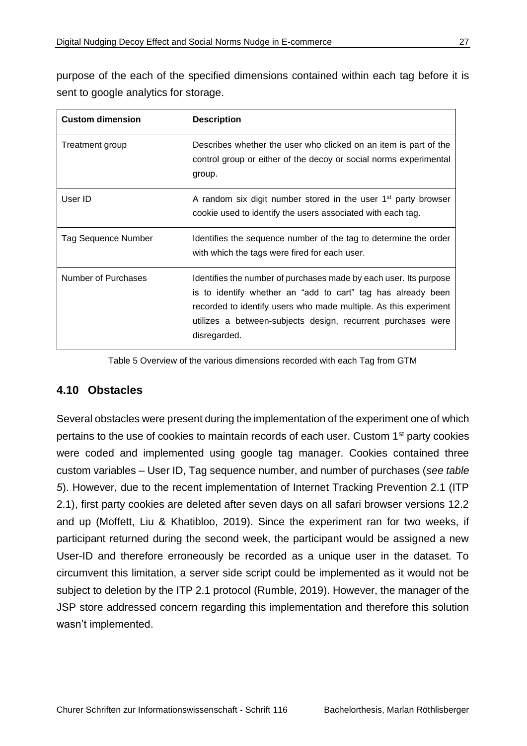purpose of the each of the specified dimensions contained within each tag before it is sent to google analytics for storage.

| <b>Custom dimension</b>    | <b>Description</b>                                                                                                                                                                                                                                                                    |
|----------------------------|---------------------------------------------------------------------------------------------------------------------------------------------------------------------------------------------------------------------------------------------------------------------------------------|
| Treatment group            | Describes whether the user who clicked on an item is part of the<br>control group or either of the decoy or social norms experimental<br>group.                                                                                                                                       |
| User ID                    | A random six digit number stored in the user $1st$ party browser<br>cookie used to identify the users associated with each tag.                                                                                                                                                       |
| <b>Tag Sequence Number</b> | Identifies the sequence number of the tag to determine the order<br>with which the tags were fired for each user.                                                                                                                                                                     |
| Number of Purchases        | Identifies the number of purchases made by each user. Its purpose<br>is to identify whether an "add to cart" tag has already been<br>recorded to identify users who made multiple. As this experiment<br>utilizes a between-subjects design, recurrent purchases were<br>disregarded. |

Table 5 Overview of the various dimensions recorded with each Tag from GTM

#### <span id="page-34-1"></span><span id="page-34-0"></span>**4.10 Obstacles**

Several obstacles were present during the implementation of the experiment one of which pertains to the use of cookies to maintain records of each user. Custom 1<sup>st</sup> party cookies were coded and implemented using google tag manager. Cookies contained three custom variables – User ID, Tag sequence number, and number of purchases (*see table 5*). However, due to the recent implementation of Internet Tracking Prevention 2.1 (ITP 2.1), first party cookies are deleted after seven days on all safari browser versions 12.2 and up (Moffett, Liu & Khatibloo, 2019). Since the experiment ran for two weeks, if participant returned during the second week, the participant would be assigned a new User-ID and therefore erroneously be recorded as a unique user in the dataset. To circumvent this limitation, a server side script could be implemented as it would not be subject to deletion by the ITP 2.1 protocol (Rumble, 2019). However, the manager of the JSP store addressed concern regarding this implementation and therefore this solution wasn't implemented.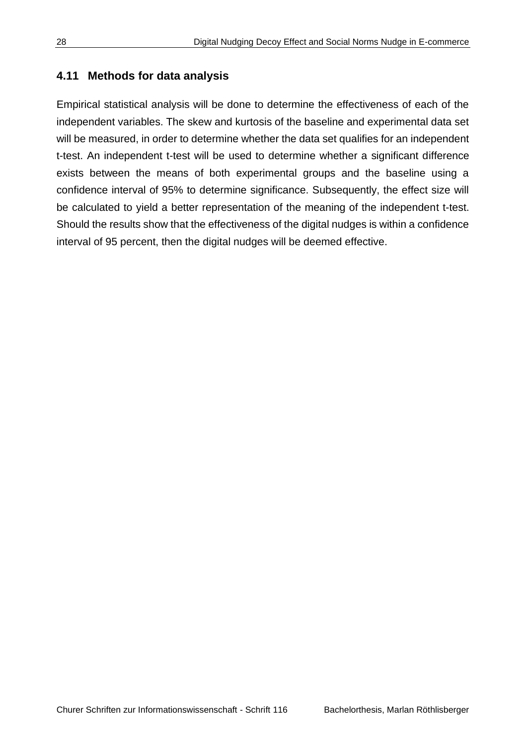#### <span id="page-35-0"></span>**4.11 Methods for data analysis**

Empirical statistical analysis will be done to determine the effectiveness of each of the independent variables. The skew and kurtosis of the baseline and experimental data set will be measured, in order to determine whether the data set qualifies for an independent t-test. An independent t-test will be used to determine whether a significant difference exists between the means of both experimental groups and the baseline using a confidence interval of 95% to determine significance. Subsequently, the effect size will be calculated to yield a better representation of the meaning of the independent t-test. Should the results show that the effectiveness of the digital nudges is within a confidence interval of 95 percent, then the digital nudges will be deemed effective.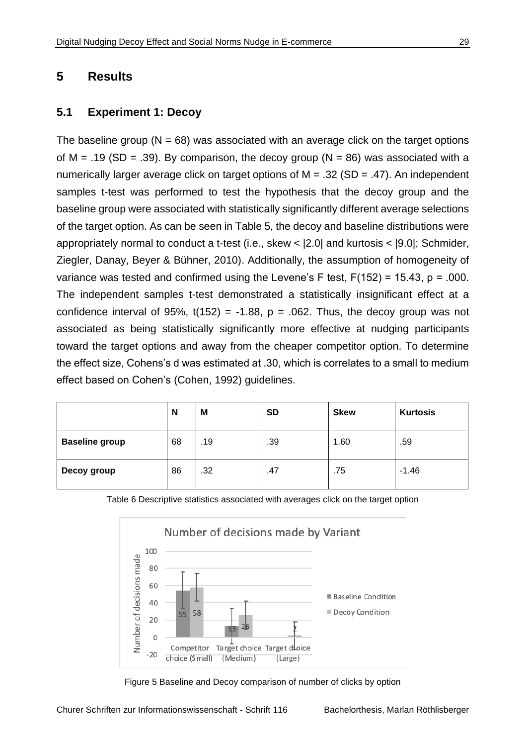#### <span id="page-36-0"></span>**5 Results**

#### <span id="page-36-1"></span>**5.1 Experiment 1: Decoy**

The baseline group ( $N = 68$ ) was associated with an average click on the target options of M = .19 (SD = .39). By comparison, the decoy group ( $N = 86$ ) was associated with a numerically larger average click on target options of  $M = .32$  (SD = .47). An independent samples t-test was performed to test the hypothesis that the decoy group and the baseline group were associated with statistically significantly different average selections of the target option. As can be seen in Table 5, the decoy and baseline distributions were appropriately normal to conduct a t-test (i.e., skew < |2.0| and kurtosis < |9.0|; Schmider, Ziegler, Danay, Beyer & Bühner, 2010). Additionally, the assumption of homogeneity of variance was tested and confirmed using the Levene's F test,  $F(152) = 15.43$ ,  $p = .000$ . The independent samples t-test demonstrated a statistically insignificant effect at a confidence interval of 95%,  $t(152) = -1.88$ ,  $p = .062$ . Thus, the decoy group was not associated as being statistically significantly more effective at nudging participants toward the target options and away from the cheaper competitor option. To determine the effect size, Cohens's d was estimated at .30, which is correlates to a small to medium effect based on Cohen's (Cohen, 1992) guidelines.

|                       | N  | M   | <b>SD</b> | <b>Skew</b> | <b>Kurtosis</b> |
|-----------------------|----|-----|-----------|-------------|-----------------|
| <b>Baseline group</b> | 68 | .19 | .39       | 1.60        | .59             |
| Decoy group           | 86 | .32 | .47       | .75         | $-1.46$         |



<span id="page-36-2"></span>Table 6 Descriptive statistics associated with averages click on the target option

Figure 5 Baseline and Decoy comparison of number of clicks by option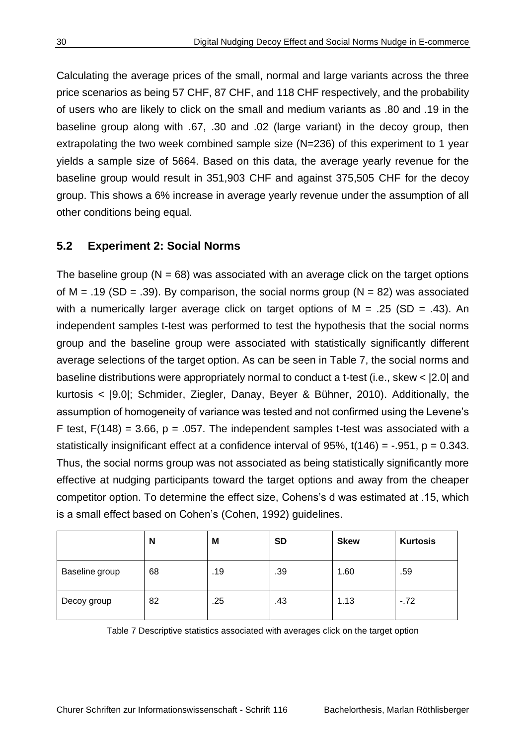Calculating the average prices of the small, normal and large variants across the three price scenarios as being 57 CHF, 87 CHF, and 118 CHF respectively, and the probability of users who are likely to click on the small and medium variants as .80 and .19 in the baseline group along with .67, .30 and .02 (large variant) in the decoy group, then extrapolating the two week combined sample size (N=236) of this experiment to 1 year yields a sample size of 5664. Based on this data, the average yearly revenue for the baseline group would result in 351,903 CHF and against 375,505 CHF for the decoy group. This shows a 6% increase in average yearly revenue under the assumption of all other conditions being equal.

#### <span id="page-37-0"></span>**5.2 Experiment 2: Social Norms**

The baseline group ( $N = 68$ ) was associated with an average click on the target options of M = .19 (SD = .39). By comparison, the social norms group ( $N = 82$ ) was associated with a numerically larger average click on target options of  $M = .25$  (SD = .43). An independent samples t-test was performed to test the hypothesis that the social norms group and the baseline group were associated with statistically significantly different average selections of the target option. As can be seen in Table 7, the social norms and baseline distributions were appropriately normal to conduct a t-test (i.e., skew < |2.0| and kurtosis < |9.0|; Schmider, Ziegler, Danay, Beyer & Bühner, 2010). Additionally, the assumption of homogeneity of variance was tested and not confirmed using the Levene's F test,  $F(148) = 3.66$ ,  $p = .057$ . The independent samples t-test was associated with a statistically insignificant effect at a confidence interval of 95%,  $t(146) = -0.951$ ,  $p = 0.343$ . Thus, the social norms group was not associated as being statistically significantly more effective at nudging participants toward the target options and away from the cheaper competitor option. To determine the effect size, Cohens's d was estimated at .15, which is a small effect based on Cohen's (Cohen, 1992) guidelines.

|                | N  | M   | <b>SD</b> | <b>Skew</b> | <b>Kurtosis</b> |
|----------------|----|-----|-----------|-------------|-----------------|
| Baseline group | 68 | .19 | .39       | 1.60        | .59             |
| Decoy group    | 82 | .25 | .43       | 1.13        | $-72$           |

<span id="page-37-1"></span>Table 7 Descriptive statistics associated with averages click on the target option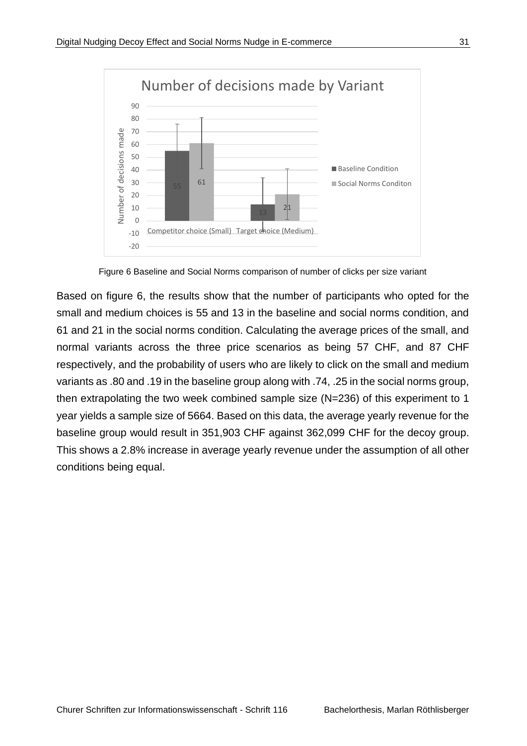

Figure 6 Baseline and Social Norms comparison of number of clicks per size variant

<span id="page-38-0"></span>Based on figure 6, the results show that the number of participants who opted for the small and medium choices is 55 and 13 in the baseline and social norms condition, and 61 and 21 in the social norms condition. Calculating the average prices of the small, and normal variants across the three price scenarios as being 57 CHF, and 87 CHF respectively, and the probability of users who are likely to click on the small and medium variants as .80 and .19 in the baseline group along with .74, .25 in the social norms group, then extrapolating the two week combined sample size (N=236) of this experiment to 1 year yields a sample size of 5664. Based on this data, the average yearly revenue for the baseline group would result in 351,903 CHF against 362,099 CHF for the decoy group. This shows a 2.8% increase in average yearly revenue under the assumption of all other conditions being equal.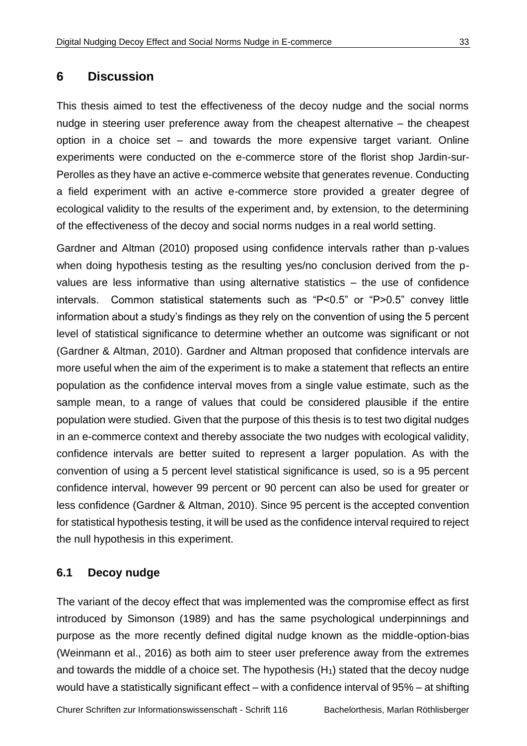#### <span id="page-40-0"></span>**6 Discussion**

This thesis aimed to test the effectiveness of the decoy nudge and the social norms nudge in steering user preference away from the cheapest alternative – the cheapest option in a choice set – and towards the more expensive target variant. Online experiments were conducted on the e-commerce store of the florist shop Jardin-sur-Perolles as they have an active e-commerce website that generates revenue. Conducting a field experiment with an active e-commerce store provided a greater degree of ecological validity to the results of the experiment and, by extension, to the determining of the effectiveness of the decoy and social norms nudges in a real world setting.

Gardner and Altman (2010) proposed using confidence intervals rather than p-values when doing hypothesis testing as the resulting yes/no conclusion derived from the pvalues are less informative than using alternative statistics – the use of confidence intervals. Common statistical statements such as "P<0.5" or "P>0.5" convey little information about a study's findings as they rely on the convention of using the 5 percent level of statistical significance to determine whether an outcome was significant or not (Gardner & Altman, 2010). Gardner and Altman proposed that confidence intervals are more useful when the aim of the experiment is to make a statement that reflects an entire population as the confidence interval moves from a single value estimate, such as the sample mean, to a range of values that could be considered plausible if the entire population were studied. Given that the purpose of this thesis is to test two digital nudges in an e-commerce context and thereby associate the two nudges with ecological validity, confidence intervals are better suited to represent a larger population. As with the convention of using a 5 percent level statistical significance is used, so is a 95 percent confidence interval, however 99 percent or 90 percent can also be used for greater or less confidence (Gardner & Altman, 2010). Since 95 percent is the accepted convention for statistical hypothesis testing, it will be used as the confidence interval required to reject the null hypothesis in this experiment.

#### <span id="page-40-1"></span>**6.1 Decoy nudge**

The variant of the decoy effect that was implemented was the compromise effect as first introduced by Simonson (1989) and has the same psychological underpinnings and purpose as the more recently defined digital nudge known as the middle-option-bias (Weinmann et al., 2016) as both aim to steer user preference away from the extremes and towards the middle of a choice set. The hypothesis  $(H<sub>1</sub>)$  stated that the decoy nudge would have a statistically significant effect – with a confidence interval of 95% – at shifting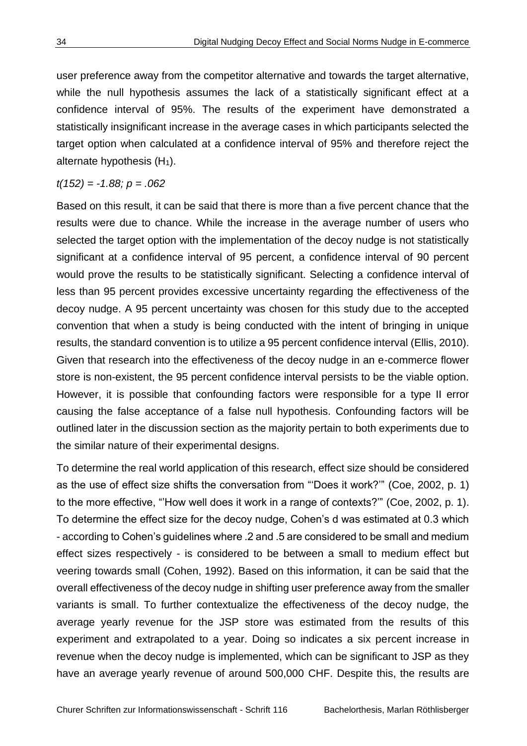user preference away from the competitor alternative and towards the target alternative, while the null hypothesis assumes the lack of a statistically significant effect at a confidence interval of 95%. The results of the experiment have demonstrated a statistically insignificant increase in the average cases in which participants selected the target option when calculated at a confidence interval of 95% and therefore reject the alternate hypothesis  $(H_1)$ .

*t(152) = -1.88; p = .062*

Based on this result, it can be said that there is more than a five percent chance that the results were due to chance. While the increase in the average number of users who selected the target option with the implementation of the decoy nudge is not statistically significant at a confidence interval of 95 percent, a confidence interval of 90 percent would prove the results to be statistically significant. Selecting a confidence interval of less than 95 percent provides excessive uncertainty regarding the effectiveness of the decoy nudge. A 95 percent uncertainty was chosen for this study due to the accepted convention that when a study is being conducted with the intent of bringing in unique results, the standard convention is to utilize a 95 percent confidence interval (Ellis, 2010). Given that research into the effectiveness of the decoy nudge in an e-commerce flower store is non-existent, the 95 percent confidence interval persists to be the viable option. However, it is possible that confounding factors were responsible for a type II error causing the false acceptance of a false null hypothesis. Confounding factors will be outlined later in the discussion section as the majority pertain to both experiments due to the similar nature of their experimental designs.

To determine the real world application of this research, effect size should be considered as the use of effect size shifts the conversation from "'Does it work?'" (Coe, 2002, p. 1) to the more effective, "'How well does it work in a range of contexts?'" (Coe, 2002, p. 1). To determine the effect size for the decoy nudge, Cohen's d was estimated at 0.3 which - according to Cohen's guidelines where .2 and .5 are considered to be small and medium effect sizes respectively - is considered to be between a small to medium effect but veering towards small (Cohen, 1992). Based on this information, it can be said that the overall effectiveness of the decoy nudge in shifting user preference away from the smaller variants is small. To further contextualize the effectiveness of the decoy nudge, the average yearly revenue for the JSP store was estimated from the results of this experiment and extrapolated to a year. Doing so indicates a six percent increase in revenue when the decoy nudge is implemented, which can be significant to JSP as they have an average yearly revenue of around 500,000 CHF. Despite this, the results are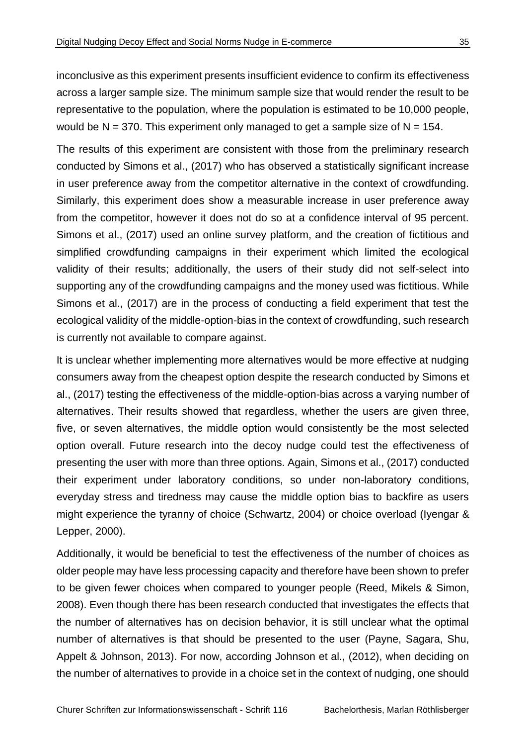inconclusive as this experiment presents insufficient evidence to confirm its effectiveness across a larger sample size. The minimum sample size that would render the result to be representative to the population, where the population is estimated to be 10,000 people, would be  $N = 370$ . This experiment only managed to get a sample size of  $N = 154$ .

The results of this experiment are consistent with those from the preliminary research conducted by Simons et al., (2017) who has observed a statistically significant increase in user preference away from the competitor alternative in the context of crowdfunding. Similarly, this experiment does show a measurable increase in user preference away from the competitor, however it does not do so at a confidence interval of 95 percent. Simons et al., (2017) used an online survey platform, and the creation of fictitious and simplified crowdfunding campaigns in their experiment which limited the ecological validity of their results; additionally, the users of their study did not self-select into supporting any of the crowdfunding campaigns and the money used was fictitious. While Simons et al., (2017) are in the process of conducting a field experiment that test the ecological validity of the middle-option-bias in the context of crowdfunding, such research is currently not available to compare against.

It is unclear whether implementing more alternatives would be more effective at nudging consumers away from the cheapest option despite the research conducted by Simons et al., (2017) testing the effectiveness of the middle-option-bias across a varying number of alternatives. Their results showed that regardless, whether the users are given three, five, or seven alternatives, the middle option would consistently be the most selected option overall. Future research into the decoy nudge could test the effectiveness of presenting the user with more than three options. Again, Simons et al., (2017) conducted their experiment under laboratory conditions, so under non-laboratory conditions, everyday stress and tiredness may cause the middle option bias to backfire as users might experience the tyranny of choice (Schwartz, 2004) or choice overload (Iyengar & Lepper, 2000).

Additionally, it would be beneficial to test the effectiveness of the number of choices as older people may have less processing capacity and therefore have been shown to prefer to be given fewer choices when compared to younger people (Reed, Mikels & Simon, 2008). Even though there has been research conducted that investigates the effects that the number of alternatives has on decision behavior, it is still unclear what the optimal number of alternatives is that should be presented to the user (Payne, Sagara, Shu, Appelt & Johnson, 2013). For now, according Johnson et al., (2012), when deciding on the number of alternatives to provide in a choice set in the context of nudging, one should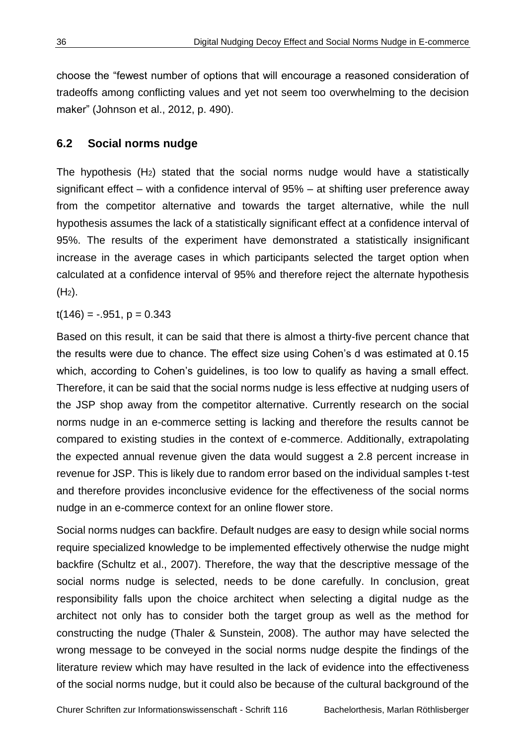choose the "fewest number of options that will encourage a reasoned consideration of tradeoffs among conflicting values and yet not seem too overwhelming to the decision maker" (Johnson et al., 2012, p. 490).

#### <span id="page-43-0"></span>**6.2 Social norms nudge**

The hypothesis  $(H<sub>2</sub>)$  stated that the social norms nudge would have a statistically significant effect – with a confidence interval of 95% – at shifting user preference away from the competitor alternative and towards the target alternative, while the null hypothesis assumes the lack of a statistically significant effect at a confidence interval of 95%. The results of the experiment have demonstrated a statistically insignificant increase in the average cases in which participants selected the target option when calculated at a confidence interval of 95% and therefore reject the alternate hypothesis  $(H<sub>2</sub>)$ .

 $t(146) = -.951, p = 0.343$ 

Based on this result, it can be said that there is almost a thirty-five percent chance that the results were due to chance. The effect size using Cohen's d was estimated at 0.15 which, according to Cohen's guidelines, is too low to qualify as having a small effect. Therefore, it can be said that the social norms nudge is less effective at nudging users of the JSP shop away from the competitor alternative. Currently research on the social norms nudge in an e-commerce setting is lacking and therefore the results cannot be compared to existing studies in the context of e-commerce. Additionally, extrapolating the expected annual revenue given the data would suggest a 2.8 percent increase in revenue for JSP. This is likely due to random error based on the individual samples t-test and therefore provides inconclusive evidence for the effectiveness of the social norms nudge in an e-commerce context for an online flower store.

Social norms nudges can backfire. Default nudges are easy to design while social norms require specialized knowledge to be implemented effectively otherwise the nudge might backfire (Schultz et al., 2007). Therefore, the way that the descriptive message of the social norms nudge is selected, needs to be done carefully. In conclusion, great responsibility falls upon the choice architect when selecting a digital nudge as the architect not only has to consider both the target group as well as the method for constructing the nudge (Thaler & Sunstein, 2008). The author may have selected the wrong message to be conveyed in the social norms nudge despite the findings of the literature review which may have resulted in the lack of evidence into the effectiveness of the social norms nudge, but it could also be because of the cultural background of the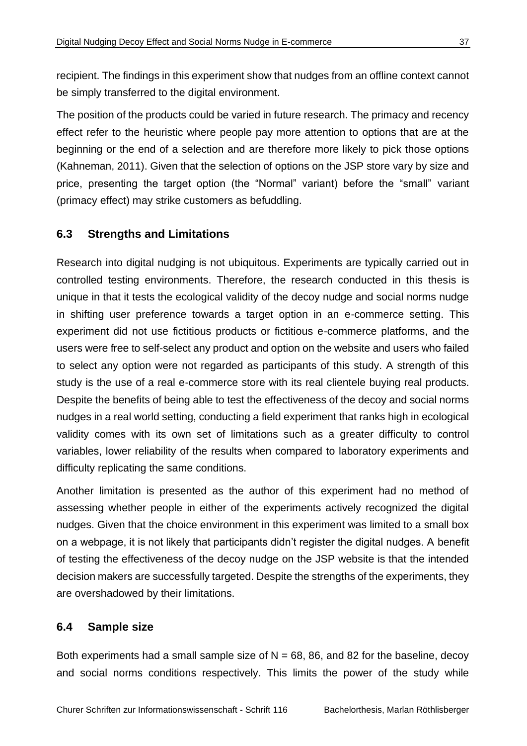recipient. The findings in this experiment show that nudges from an offline context cannot be simply transferred to the digital environment.

The position of the products could be varied in future research. The primacy and recency effect refer to the heuristic where people pay more attention to options that are at the beginning or the end of a selection and are therefore more likely to pick those options (Kahneman, 2011). Given that the selection of options on the JSP store vary by size and price, presenting the target option (the "Normal" variant) before the "small" variant (primacy effect) may strike customers as befuddling.

#### <span id="page-44-0"></span>**6.3 Strengths and Limitations**

Research into digital nudging is not ubiquitous. Experiments are typically carried out in controlled testing environments. Therefore, the research conducted in this thesis is unique in that it tests the ecological validity of the decoy nudge and social norms nudge in shifting user preference towards a target option in an e-commerce setting. This experiment did not use fictitious products or fictitious e-commerce platforms, and the users were free to self-select any product and option on the website and users who failed to select any option were not regarded as participants of this study. A strength of this study is the use of a real e-commerce store with its real clientele buying real products. Despite the benefits of being able to test the effectiveness of the decoy and social norms nudges in a real world setting, conducting a field experiment that ranks high in ecological validity comes with its own set of limitations such as a greater difficulty to control variables, lower reliability of the results when compared to laboratory experiments and difficulty replicating the same conditions.

Another limitation is presented as the author of this experiment had no method of assessing whether people in either of the experiments actively recognized the digital nudges. Given that the choice environment in this experiment was limited to a small box on a webpage, it is not likely that participants didn't register the digital nudges. A benefit of testing the effectiveness of the decoy nudge on the JSP website is that the intended decision makers are successfully targeted. Despite the strengths of the experiments, they are overshadowed by their limitations.

#### <span id="page-44-1"></span>**6.4 Sample size**

Both experiments had a small sample size of  $N = 68, 86$ , and 82 for the baseline, decoy and social norms conditions respectively. This limits the power of the study while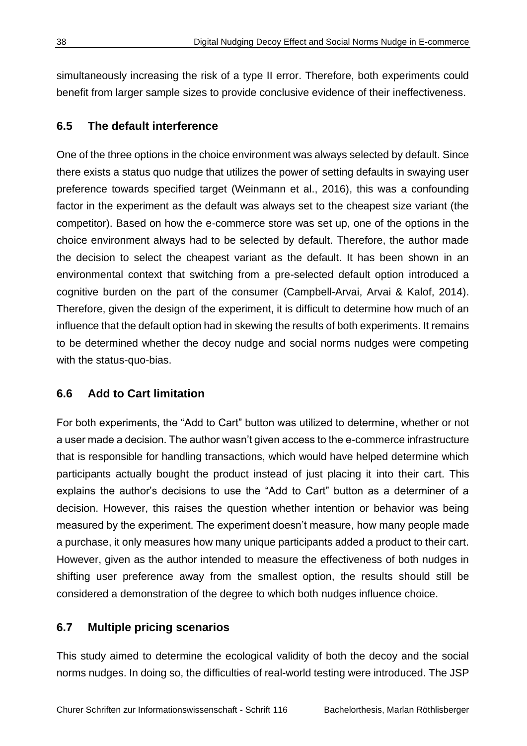simultaneously increasing the risk of a type II error. Therefore, both experiments could benefit from larger sample sizes to provide conclusive evidence of their ineffectiveness.

#### <span id="page-45-0"></span>**6.5 The default interference**

One of the three options in the choice environment was always selected by default. Since there exists a status quo nudge that utilizes the power of setting defaults in swaying user preference towards specified target (Weinmann et al., 2016), this was a confounding factor in the experiment as the default was always set to the cheapest size variant (the competitor). Based on how the e-commerce store was set up, one of the options in the choice environment always had to be selected by default. Therefore, the author made the decision to select the cheapest variant as the default. It has been shown in an environmental context that switching from a pre-selected default option introduced a cognitive burden on the part of the consumer (Campbell-Arvai, Arvai & Kalof, 2014). Therefore, given the design of the experiment, it is difficult to determine how much of an influence that the default option had in skewing the results of both experiments. It remains to be determined whether the decoy nudge and social norms nudges were competing with the status-quo-bias.

#### <span id="page-45-1"></span>**6.6 Add to Cart limitation**

For both experiments, the "Add to Cart" button was utilized to determine, whether or not a user made a decision. The author wasn't given access to the e-commerce infrastructure that is responsible for handling transactions, which would have helped determine which participants actually bought the product instead of just placing it into their cart. This explains the author's decisions to use the "Add to Cart" button as a determiner of a decision. However, this raises the question whether intention or behavior was being measured by the experiment. The experiment doesn't measure, how many people made a purchase, it only measures how many unique participants added a product to their cart. However, given as the author intended to measure the effectiveness of both nudges in shifting user preference away from the smallest option, the results should still be considered a demonstration of the degree to which both nudges influence choice.

#### <span id="page-45-2"></span>**6.7 Multiple pricing scenarios**

This study aimed to determine the ecological validity of both the decoy and the social norms nudges. In doing so, the difficulties of real-world testing were introduced. The JSP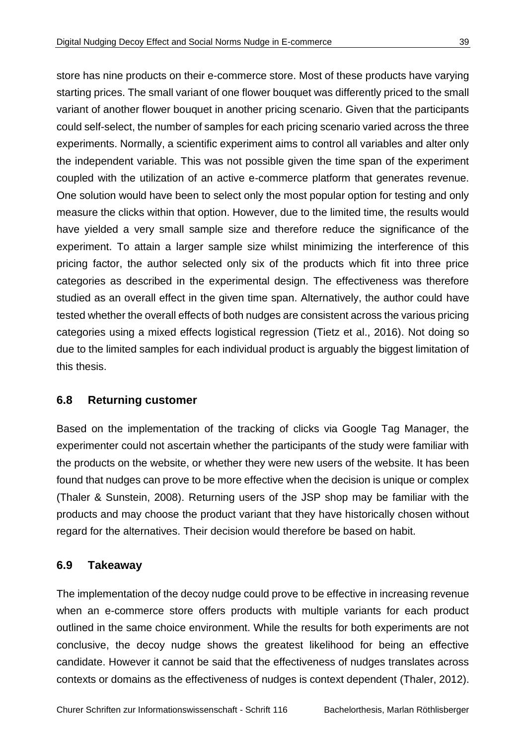store has nine products on their e-commerce store. Most of these products have varying starting prices. The small variant of one flower bouquet was differently priced to the small variant of another flower bouquet in another pricing scenario. Given that the participants could self-select, the number of samples for each pricing scenario varied across the three experiments. Normally, a scientific experiment aims to control all variables and alter only the independent variable. This was not possible given the time span of the experiment coupled with the utilization of an active e-commerce platform that generates revenue. One solution would have been to select only the most popular option for testing and only measure the clicks within that option. However, due to the limited time, the results would have yielded a very small sample size and therefore reduce the significance of the experiment. To attain a larger sample size whilst minimizing the interference of this pricing factor, the author selected only six of the products which fit into three price categories as described in the experimental design. The effectiveness was therefore studied as an overall effect in the given time span. Alternatively, the author could have tested whether the overall effects of both nudges are consistent across the various pricing categories using a mixed effects logistical regression (Tietz et al., 2016). Not doing so due to the limited samples for each individual product is arguably the biggest limitation of this thesis.

#### <span id="page-46-0"></span>**6.8 Returning customer**

Based on the implementation of the tracking of clicks via Google Tag Manager, the experimenter could not ascertain whether the participants of the study were familiar with the products on the website, or whether they were new users of the website. It has been found that nudges can prove to be more effective when the decision is unique or complex (Thaler & Sunstein, 2008). Returning users of the JSP shop may be familiar with the products and may choose the product variant that they have historically chosen without regard for the alternatives. Their decision would therefore be based on habit.

#### <span id="page-46-1"></span>**6.9 Takeaway**

The implementation of the decoy nudge could prove to be effective in increasing revenue when an e-commerce store offers products with multiple variants for each product outlined in the same choice environment. While the results for both experiments are not conclusive, the decoy nudge shows the greatest likelihood for being an effective candidate. However it cannot be said that the effectiveness of nudges translates across contexts or domains as the effectiveness of nudges is context dependent (Thaler, 2012).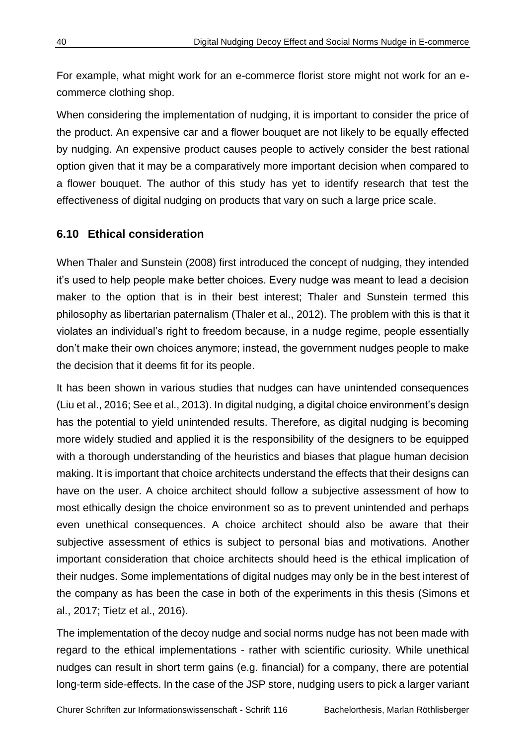For example, what might work for an e-commerce florist store might not work for an ecommerce clothing shop.

When considering the implementation of nudging, it is important to consider the price of the product. An expensive car and a flower bouquet are not likely to be equally effected by nudging. An expensive product causes people to actively consider the best rational option given that it may be a comparatively more important decision when compared to a flower bouquet. The author of this study has yet to identify research that test the effectiveness of digital nudging on products that vary on such a large price scale.

#### <span id="page-47-0"></span>**6.10 Ethical consideration**

When Thaler and Sunstein (2008) first introduced the concept of nudging, they intended it's used to help people make better choices. Every nudge was meant to lead a decision maker to the option that is in their best interest; Thaler and Sunstein termed this philosophy as libertarian paternalism (Thaler et al., 2012). The problem with this is that it violates an individual's right to freedom because, in a nudge regime, people essentially don't make their own choices anymore; instead, the government nudges people to make the decision that it deems fit for its people.

It has been shown in various studies that nudges can have unintended consequences (Liu et al., 2016; See et al., 2013). In digital nudging, a digital choice environment's design has the potential to yield unintended results. Therefore, as digital nudging is becoming more widely studied and applied it is the responsibility of the designers to be equipped with a thorough understanding of the heuristics and biases that plague human decision making. It is important that choice architects understand the effects that their designs can have on the user. A choice architect should follow a subjective assessment of how to most ethically design the choice environment so as to prevent unintended and perhaps even unethical consequences. A choice architect should also be aware that their subjective assessment of ethics is subject to personal bias and motivations. Another important consideration that choice architects should heed is the ethical implication of their nudges. Some implementations of digital nudges may only be in the best interest of the company as has been the case in both of the experiments in this thesis (Simons et al., 2017; Tietz et al., 2016).

The implementation of the decoy nudge and social norms nudge has not been made with regard to the ethical implementations - rather with scientific curiosity. While unethical nudges can result in short term gains (e.g. financial) for a company, there are potential long-term side-effects. In the case of the JSP store, nudging users to pick a larger variant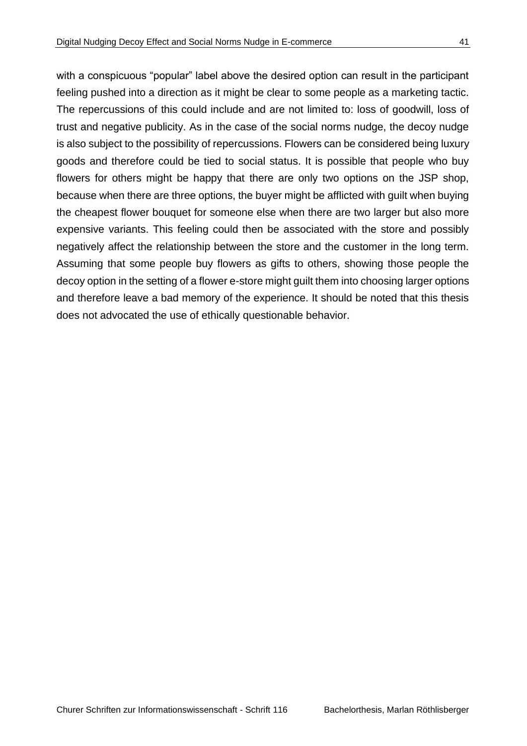feeling pushed into a direction as it might be clear to some people as a marketing tactic. The repercussions of this could include and are not limited to: loss of goodwill, loss of trust and negative publicity. As in the case of the social norms nudge, the decoy nudge is also subject to the possibility of repercussions. Flowers can be considered being luxury goods and therefore could be tied to social status. It is possible that people who buy flowers for others might be happy that there are only two options on the JSP shop, because when there are three options, the buyer might be afflicted with guilt when buying the cheapest flower bouquet for someone else when there are two larger but also more expensive variants. This feeling could then be associated with the store and possibly negatively affect the relationship between the store and the customer in the long term. Assuming that some people buy flowers as gifts to others, showing those people the decoy option in the setting of a flower e-store might guilt them into choosing larger options and therefore leave a bad memory of the experience. It should be noted that this thesis does not advocated the use of ethically questionable behavior.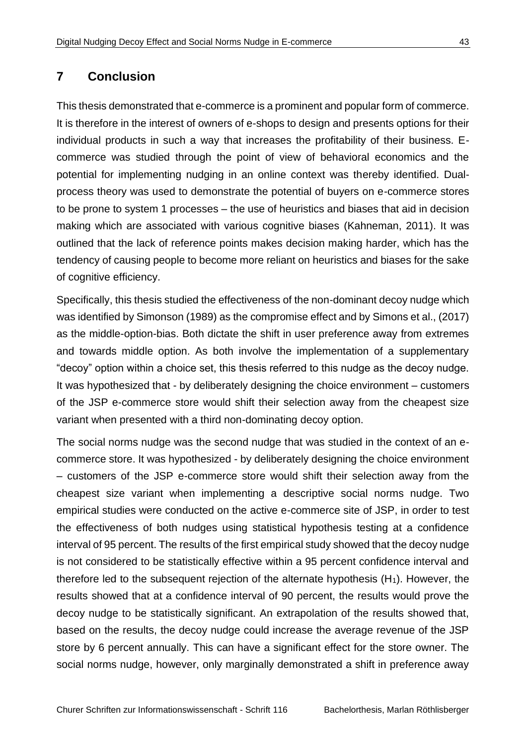## <span id="page-50-0"></span>**7 Conclusion**

This thesis demonstrated that e-commerce is a prominent and popular form of commerce. It is therefore in the interest of owners of e-shops to design and presents options for their individual products in such a way that increases the profitability of their business. Ecommerce was studied through the point of view of behavioral economics and the potential for implementing nudging in an online context was thereby identified. Dualprocess theory was used to demonstrate the potential of buyers on e-commerce stores to be prone to system 1 processes – the use of heuristics and biases that aid in decision making which are associated with various cognitive biases (Kahneman, 2011). It was outlined that the lack of reference points makes decision making harder, which has the tendency of causing people to become more reliant on heuristics and biases for the sake of cognitive efficiency.

Specifically, this thesis studied the effectiveness of the non-dominant decoy nudge which was identified by Simonson (1989) as the compromise effect and by Simons et al., (2017) as the middle-option-bias. Both dictate the shift in user preference away from extremes and towards middle option. As both involve the implementation of a supplementary "decoy" option within a choice set, this thesis referred to this nudge as the decoy nudge. It was hypothesized that - by deliberately designing the choice environment – customers of the JSP e-commerce store would shift their selection away from the cheapest size variant when presented with a third non-dominating decoy option.

The social norms nudge was the second nudge that was studied in the context of an ecommerce store. It was hypothesized - by deliberately designing the choice environment – customers of the JSP e-commerce store would shift their selection away from the cheapest size variant when implementing a descriptive social norms nudge. Two empirical studies were conducted on the active e-commerce site of JSP, in order to test the effectiveness of both nudges using statistical hypothesis testing at a confidence interval of 95 percent. The results of the first empirical study showed that the decoy nudge is not considered to be statistically effective within a 95 percent confidence interval and therefore led to the subsequent rejection of the alternate hypothesis  $(H_1)$ . However, the results showed that at a confidence interval of 90 percent, the results would prove the decoy nudge to be statistically significant. An extrapolation of the results showed that, based on the results, the decoy nudge could increase the average revenue of the JSP store by 6 percent annually. This can have a significant effect for the store owner. The social norms nudge, however, only marginally demonstrated a shift in preference away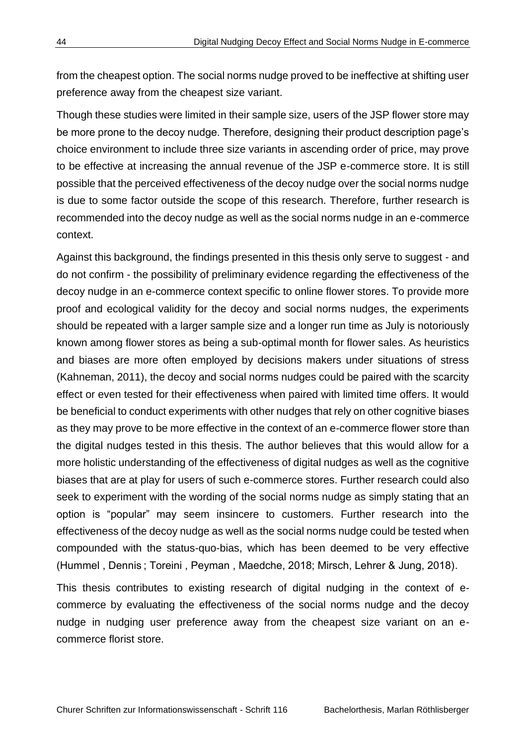from the cheapest option. The social norms nudge proved to be ineffective at shifting user preference away from the cheapest size variant.

Though these studies were limited in their sample size, users of the JSP flower store may be more prone to the decoy nudge. Therefore, designing their product description page's choice environment to include three size variants in ascending order of price, may prove to be effective at increasing the annual revenue of the JSP e-commerce store. It is still possible that the perceived effectiveness of the decoy nudge over the social norms nudge is due to some factor outside the scope of this research. Therefore, further research is recommended into the decoy nudge as well as the social norms nudge in an e-commerce context.

Against this background, the findings presented in this thesis only serve to suggest - and do not confirm - the possibility of preliminary evidence regarding the effectiveness of the decoy nudge in an e-commerce context specific to online flower stores. To provide more proof and ecological validity for the decoy and social norms nudges, the experiments should be repeated with a larger sample size and a longer run time as July is notoriously known among flower stores as being a sub-optimal month for flower sales. As heuristics and biases are more often employed by decisions makers under situations of stress (Kahneman, 2011), the decoy and social norms nudges could be paired with the scarcity effect or even tested for their effectiveness when paired with limited time offers. It would be beneficial to conduct experiments with other nudges that rely on other cognitive biases as they may prove to be more effective in the context of an e-commerce flower store than the digital nudges tested in this thesis. The author believes that this would allow for a more holistic understanding of the effectiveness of digital nudges as well as the cognitive biases that are at play for users of such e-commerce stores. Further research could also seek to experiment with the wording of the social norms nudge as simply stating that an option is "popular" may seem insincere to customers. Further research into the effectiveness of the decoy nudge as well as the social norms nudge could be tested when compounded with the status-quo-bias, which has been deemed to be very effective (Hummel , Dennis ; Toreini , Peyman , Maedche, 2018; Mirsch, Lehrer & Jung, 2018).

This thesis contributes to existing research of digital nudging in the context of ecommerce by evaluating the effectiveness of the social norms nudge and the decoy nudge in nudging user preference away from the cheapest size variant on an ecommerce florist store.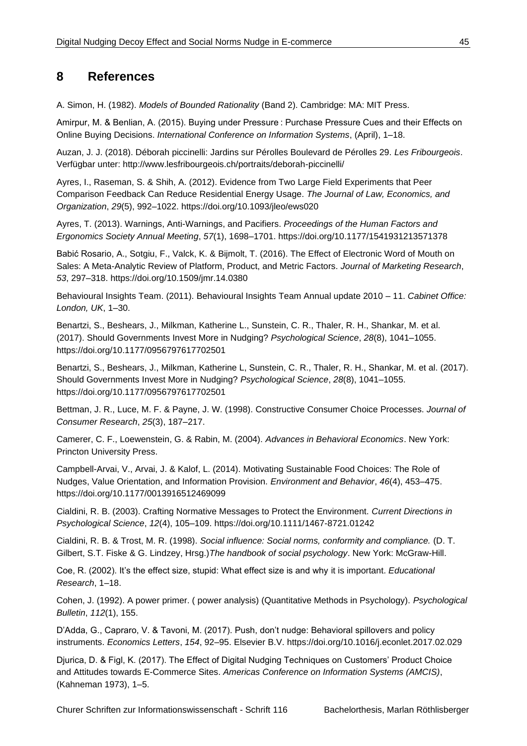### <span id="page-52-0"></span>**8 References**

A. Simon, H. (1982). *Models of Bounded Rationality* (Band 2). Cambridge: MA: MIT Press.

Amirpur, M. & Benlian, A. (2015). Buying under Pressure : Purchase Pressure Cues and their Effects on Online Buying Decisions. *International Conference on Information Systems*, (April), 1–18.

Auzan, J. J. (2018). Déborah piccinelli: Jardins sur Pérolles Boulevard de Pérolles 29. *Les Fribourgeois*. Verfügbar unter: http://www.lesfribourgeois.ch/portraits/deborah-piccinelli/

Ayres, I., Raseman, S. & Shih, A. (2012). Evidence from Two Large Field Experiments that Peer Comparison Feedback Can Reduce Residential Energy Usage. *The Journal of Law, Economics, and Organization*, *29*(5), 992–1022. https://doi.org/10.1093/jleo/ews020

Ayres, T. (2013). Warnings, Anti-Warnings, and Pacifiers. *Proceedings of the Human Factors and Ergonomics Society Annual Meeting*, *57*(1), 1698–1701. https://doi.org/10.1177/1541931213571378

Babić Rosario, A., Sotgiu, F., Valck, K. & Bijmolt, T. (2016). The Effect of Electronic Word of Mouth on Sales: A Meta-Analytic Review of Platform, Product, and Metric Factors. *Journal of Marketing Research*, *53*, 297–318. https://doi.org/10.1509/jmr.14.0380

Behavioural Insights Team. (2011). Behavioural Insights Team Annual update 2010 – 11. *Cabinet Office: London, UK*, 1–30.

Benartzi, S., Beshears, J., Milkman, Katherine L., Sunstein, C. R., Thaler, R. H., Shankar, M. et al. (2017). Should Governments Invest More in Nudging? *Psychological Science*, *28*(8), 1041–1055. https://doi.org/10.1177/0956797617702501

Benartzi, S., Beshears, J., Milkman, Katherine L, Sunstein, C. R., Thaler, R. H., Shankar, M. et al. (2017). Should Governments Invest More in Nudging? *Psychological Science*, *28*(8), 1041–1055. https://doi.org/10.1177/0956797617702501

Bettman, J. R., Luce, M. F. & Payne, J. W. (1998). Constructive Consumer Choice Processes. *Journal of Consumer Research*, *25*(3), 187–217.

Camerer, C. F., Loewenstein, G. & Rabin, M. (2004). *Advances in Behavioral Economics*. New York: Princton University Press.

Campbell-Arvai, V., Arvai, J. & Kalof, L. (2014). Motivating Sustainable Food Choices: The Role of Nudges, Value Orientation, and Information Provision. *Environment and Behavior*, *46*(4), 453–475. https://doi.org/10.1177/0013916512469099

Cialdini, R. B. (2003). Crafting Normative Messages to Protect the Environment. *Current Directions in Psychological Science*, *12*(4), 105–109. https://doi.org/10.1111/1467-8721.01242

Cialdini, R. B. & Trost, M. R. (1998). *Social influence: Social norms, conformity and compliance.* (D. T. Gilbert, S.T. Fiske & G. Lindzey, Hrsg.)*The handbook of social psychology*. New York: McGraw-Hill.

Coe, R. (2002). It's the effect size, stupid: What effect size is and why it is important. *Educational Research*, 1–18.

Cohen, J. (1992). A power primer. ( power analysis) (Quantitative Methods in Psychology). *Psychological Bulletin*, *112*(1), 155.

D'Adda, G., Capraro, V. & Tavoni, M. (2017). Push, don't nudge: Behavioral spillovers and policy instruments. *Economics Letters*, *154*, 92–95. Elsevier B.V. https://doi.org/10.1016/j.econlet.2017.02.029

Djurica, D. & Figl, K. (2017). The Effect of Digital Nudging Techniques on Customers' Product Choice and Attitudes towards E-Commerce Sites. *Americas Conference on Information Systems (AMCIS)*, (Kahneman 1973), 1–5.

Churer Schriften zur Informationswissenschaft - Schrift 116 Bachelorthesis, Marlan Röthlisberger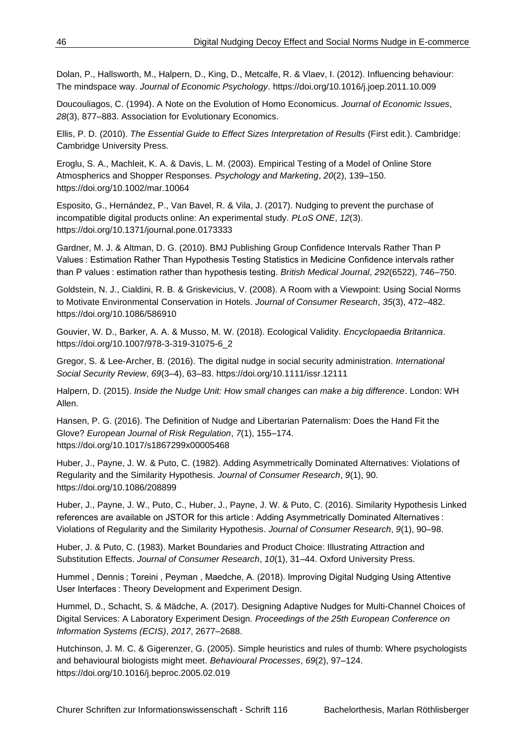Dolan, P., Hallsworth, M., Halpern, D., King, D., Metcalfe, R. & Vlaev, I. (2012). Influencing behaviour: The mindspace way. *Journal of Economic Psychology*. https://doi.org/10.1016/j.joep.2011.10.009

Doucouliagos, C. (1994). A Note on the Evolution of Homo Economicus. *Journal of Economic Issues*, *28*(3), 877–883. Association for Evolutionary Economics.

Ellis, P. D. (2010). *The Essential Guide to Effect Sizes Interpretation of Results* (First edit.). Cambridge: Cambridge University Press.

Eroglu, S. A., Machleit, K. A. & Davis, L. M. (2003). Empirical Testing of a Model of Online Store Atmospherics and Shopper Responses. *Psychology and Marketing*, *20*(2), 139–150. https://doi.org/10.1002/mar.10064

Esposito, G., Hernández, P., Van Bavel, R. & Vila, J. (2017). Nudging to prevent the purchase of incompatible digital products online: An experimental study. *PLoS ONE*, *12*(3). https://doi.org/10.1371/journal.pone.0173333

Gardner, M. J. & Altman, D. G. (2010). BMJ Publishing Group Confidence Intervals Rather Than P Values : Estimation Rather Than Hypothesis Testing Statistics in Medicine Confidence intervals rather than P values : estimation rather than hypothesis testing. *British Medical Journal*, *292*(6522), 746–750.

Goldstein, N. J., Cialdini, R. B. & Griskevicius, V. (2008). A Room with a Viewpoint: Using Social Norms to Motivate Environmental Conservation in Hotels. *Journal of Consumer Research*, *35*(3), 472–482. https://doi.org/10.1086/586910

Gouvier, W. D., Barker, A. A. & Musso, M. W. (2018). Ecological Validity. *Encyclopaedia Britannica*. https://doi.org/10.1007/978-3-319-31075-6\_2

Gregor, S. & Lee-Archer, B. (2016). The digital nudge in social security administration. *International Social Security Review*, *69*(3–4), 63–83. https://doi.org/10.1111/issr.12111

Halpern, D. (2015). *Inside the Nudge Unit: How small changes can make a big difference*. London: WH Allen.

Hansen, P. G. (2016). The Definition of Nudge and Libertarian Paternalism: Does the Hand Fit the Glove? *European Journal of Risk Regulation*, *7*(1), 155–174. https://doi.org/10.1017/s1867299x00005468

Huber, J., Payne, J. W. & Puto, C. (1982). Adding Asymmetrically Dominated Alternatives: Violations of Regularity and the Similarity Hypothesis. *Journal of Consumer Research*, *9*(1), 90. https://doi.org/10.1086/208899

Huber, J., Payne, J. W., Puto, C., Huber, J., Payne, J. W. & Puto, C. (2016). Similarity Hypothesis Linked references are available on JSTOR for this article : Adding Asymmetrically Dominated Alternatives : Violations of Regularity and the Similarity Hypothesis. *Journal of Consumer Research*, *9*(1), 90–98.

Huber, J. & Puto, C. (1983). Market Boundaries and Product Choice: Illustrating Attraction and Substitution Effects. *Journal of Consumer Research*, *10*(1), 31–44. Oxford University Press.

Hummel , Dennis ; Toreini , Peyman , Maedche, A. (2018). Improving Digital Nudging Using Attentive User Interfaces : Theory Development and Experiment Design.

Hummel, D., Schacht, S. & Mädche, A. (2017). Designing Adaptive Nudges for Multi-Channel Choices of Digital Services: A Laboratory Experiment Design. *Proceedings of the 25th European Conference on Information Systems (ECIS)*, *2017*, 2677–2688.

Hutchinson, J. M. C. & Gigerenzer, G. (2005). Simple heuristics and rules of thumb: Where psychologists and behavioural biologists might meet. *Behavioural Processes*, *69*(2), 97–124. https://doi.org/10.1016/j.beproc.2005.02.019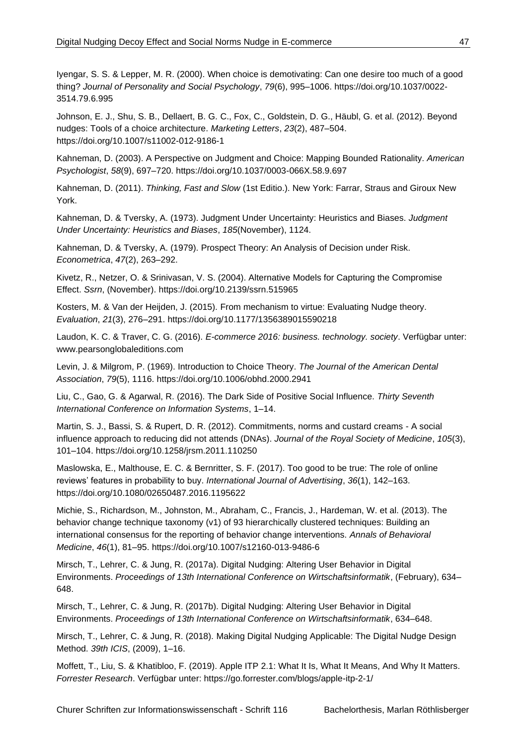Iyengar, S. S. & Lepper, M. R. (2000). When choice is demotivating: Can one desire too much of a good thing? *Journal of Personality and Social Psychology*, *79*(6), 995–1006. https://doi.org/10.1037/0022- 3514.79.6.995

Johnson, E. J., Shu, S. B., Dellaert, B. G. C., Fox, C., Goldstein, D. G., Häubl, G. et al. (2012). Beyond nudges: Tools of a choice architecture. *Marketing Letters*, *23*(2), 487–504. https://doi.org/10.1007/s11002-012-9186-1

Kahneman, D. (2003). A Perspective on Judgment and Choice: Mapping Bounded Rationality. *American Psychologist*, *58*(9), 697–720. https://doi.org/10.1037/0003-066X.58.9.697

Kahneman, D. (2011). *Thinking, Fast and Slow* (1st Editio.). New York: Farrar, Straus and Giroux New York.

Kahneman, D. & Tversky, A. (1973). Judgment Under Uncertainty: Heuristics and Biases. *Judgment Under Uncertainty: Heuristics and Biases*, *185*(November), 1124.

Kahneman, D. & Tversky, A. (1979). Prospect Theory: An Analysis of Decision under Risk. *Econometrica*, *47*(2), 263–292.

Kivetz, R., Netzer, O. & Srinivasan, V. S. (2004). Alternative Models for Capturing the Compromise Effect. *Ssrn*, (November). https://doi.org/10.2139/ssrn.515965

Kosters, M. & Van der Heijden, J. (2015). From mechanism to virtue: Evaluating Nudge theory. *Evaluation*, *21*(3), 276–291. https://doi.org/10.1177/1356389015590218

Laudon, K. C. & Traver, C. G. (2016). *E-commerce 2016: business. technology. society*. Verfügbar unter: www.pearsonglobaleditions.com

Levin, J. & Milgrom, P. (1969). Introduction to Choice Theory. *The Journal of the American Dental Association*, *79*(5), 1116. https://doi.org/10.1006/obhd.2000.2941

Liu, C., Gao, G. & Agarwal, R. (2016). The Dark Side of Positive Social Influence. *Thirty Seventh International Conference on Information Systems*, 1–14.

Martin, S. J., Bassi, S. & Rupert, D. R. (2012). Commitments, norms and custard creams - A social influence approach to reducing did not attends (DNAs). *Journal of the Royal Society of Medicine*, *105*(3), 101–104. https://doi.org/10.1258/jrsm.2011.110250

Maslowska, E., Malthouse, E. C. & Bernritter, S. F. (2017). Too good to be true: The role of online reviews' features in probability to buy. *International Journal of Advertising*, *36*(1), 142–163. https://doi.org/10.1080/02650487.2016.1195622

Michie, S., Richardson, M., Johnston, M., Abraham, C., Francis, J., Hardeman, W. et al. (2013). The behavior change technique taxonomy (v1) of 93 hierarchically clustered techniques: Building an international consensus for the reporting of behavior change interventions. *Annals of Behavioral Medicine*, *46*(1), 81–95. https://doi.org/10.1007/s12160-013-9486-6

Mirsch, T., Lehrer, C. & Jung, R. (2017a). Digital Nudging: Altering User Behavior in Digital Environments. *Proceedings of 13th International Conference on Wirtschaftsinformatik*, (February), 634– 648.

Mirsch, T., Lehrer, C. & Jung, R. (2017b). Digital Nudging: Altering User Behavior in Digital Environments. *Proceedings of 13th International Conference on Wirtschaftsinformatik*, 634–648.

Mirsch, T., Lehrer, C. & Jung, R. (2018). Making Digital Nudging Applicable: The Digital Nudge Design Method. *39th ICIS*, (2009), 1–16.

Moffett, T., Liu, S. & Khatibloo, F. (2019). Apple ITP 2.1: What It Is, What It Means, And Why It Matters. *Forrester Research*. Verfügbar unter: https://go.forrester.com/blogs/apple-itp-2-1/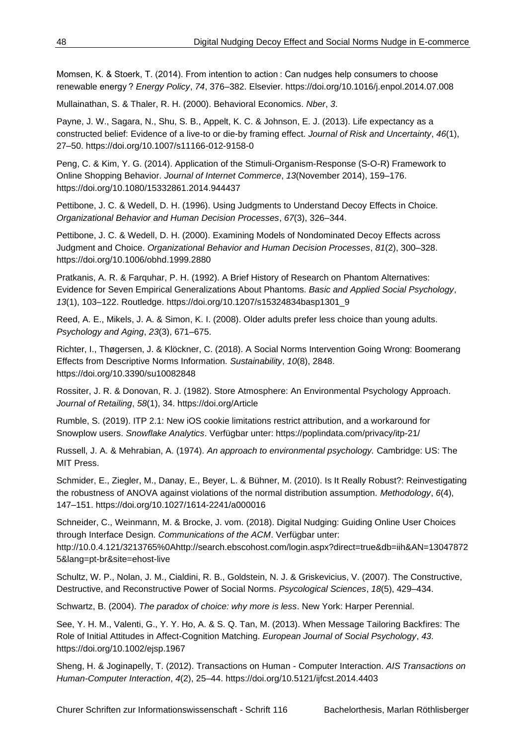Momsen, K. & Stoerk, T. (2014). From intention to action : Can nudges help consumers to choose renewable energy ? *Energy Policy*, *74*, 376–382. Elsevier. https://doi.org/10.1016/j.enpol.2014.07.008

Mullainathan, S. & Thaler, R. H. (2000). Behavioral Economics. *Nber*, *3*.

Payne, J. W., Sagara, N., Shu, S. B., Appelt, K. C. & Johnson, E. J. (2013). Life expectancy as a constructed belief: Evidence of a live-to or die-by framing effect. *Journal of Risk and Uncertainty*, *46*(1), 27–50. https://doi.org/10.1007/s11166-012-9158-0

Peng, C. & Kim, Y. G. (2014). Application of the Stimuli-Organism-Response (S-O-R) Framework to Online Shopping Behavior. *Journal of Internet Commerce*, *13*(November 2014), 159–176. https://doi.org/10.1080/15332861.2014.944437

Pettibone, J. C. & Wedell, D. H. (1996). Using Judgments to Understand Decoy Effects in Choice. *Organizational Behavior and Human Decision Processes*, *67*(3), 326–344.

Pettibone, J. C. & Wedell, D. H. (2000). Examining Models of Nondominated Decoy Effects across Judgment and Choice. *Organizational Behavior and Human Decision Processes*, *81*(2), 300–328. https://doi.org/10.1006/obhd.1999.2880

Pratkanis, A. R. & Farquhar, P. H. (1992). A Brief History of Research on Phantom Alternatives: Evidence for Seven Empirical Generalizations About Phantoms. *Basic and Applied Social Psychology*, *13*(1), 103–122. Routledge. https://doi.org/10.1207/s15324834basp1301\_9

Reed, A. E., Mikels, J. A. & Simon, K. I. (2008). Older adults prefer less choice than young adults. *Psychology and Aging*, *23*(3), 671–675.

Richter, I., Thøgersen, J. & Klöckner, C. (2018). A Social Norms Intervention Going Wrong: Boomerang Effects from Descriptive Norms Information. *Sustainability*, *10*(8), 2848. https://doi.org/10.3390/su10082848

Rossiter, J. R. & Donovan, R. J. (1982). Store Atmosphere: An Environmental Psychology Approach. *Journal of Retailing*, *58*(1), 34. https://doi.org/Article

Rumble, S. (2019). ITP 2.1: New iOS cookie limitations restrict attribution, and a workaround for Snowplow users. *Snowflake Analytics*. Verfügbar unter: https://poplindata.com/privacy/itp-21/

Russell, J. A. & Mehrabian, A. (1974). *An approach to environmental psychology.* Cambridge: US: The MIT Press.

Schmider, E., Ziegler, M., Danay, E., Beyer, L. & Bühner, M. (2010). Is It Really Robust?: Reinvestigating the robustness of ANOVA against violations of the normal distribution assumption. *Methodology*, *6*(4), 147–151. https://doi.org/10.1027/1614-2241/a000016

Schneider, C., Weinmann, M. & Brocke, J. vom. (2018). Digital Nudging: Guiding Online User Choices through Interface Design. *Communications of the ACM*. Verfügbar unter:

http://10.0.4.121/3213765%0Ahttp://search.ebscohost.com/login.aspx?direct=true&db=iih&AN=13047872 5&lang=pt-br&site=ehost-live

Schultz, W. P., Nolan, J. M., Cialdini, R. B., Goldstein, N. J. & Griskevicius, V. (2007). The Constructive, Destructive, and Reconstructive Power of Social Norms. *Psycological Sciences*, *18*(5), 429–434.

Schwartz, B. (2004). *The paradox of choice: why more is less*. New York: Harper Perennial.

See, Y. H. M., Valenti, G., Y. Y. Ho, A. & S. Q. Tan, M. (2013). When Message Tailoring Backfires: The Role of Initial Attitudes in Affect-Cognition Matching. *European Journal of Social Psychology*, *43*. https://doi.org/10.1002/ejsp.1967

Sheng, H. & Joginapelly, T. (2012). Transactions on Human - Computer Interaction. *AIS Transactions on Human-Computer Interaction*, *4*(2), 25–44. https://doi.org/10.5121/ijfcst.2014.4403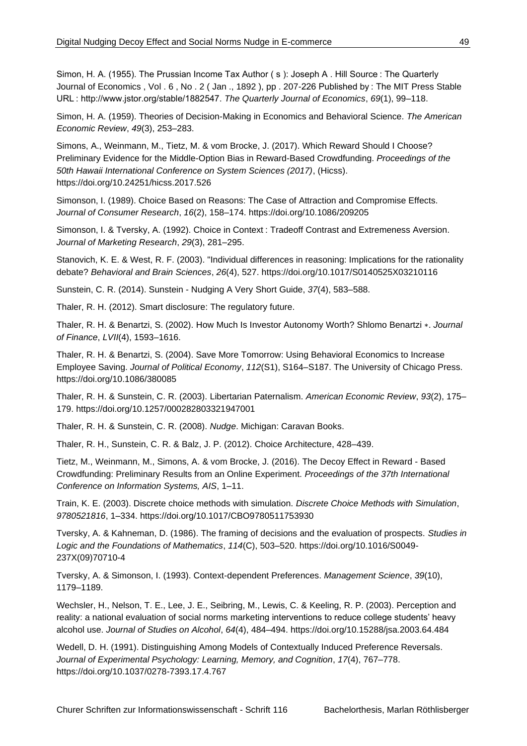Simon, H. A. (1955). The Prussian Income Tax Author (s): Joseph A. Hill Source: The Quarterly Journal of Economics , Vol . 6 , No . 2 ( Jan ., 1892 ), pp . 207-226 Published by : The MIT Press Stable URL : http://www.jstor.org/stable/1882547. *The Quarterly Journal of Economics*, *69*(1), 99–118.

Simon, H. A. (1959). Theories of Decision-Making in Economics and Behavioral Science. *The American Economic Review*, *49*(3), 253–283.

Simons, A., Weinmann, M., Tietz, M. & vom Brocke, J. (2017). Which Reward Should I Choose? Preliminary Evidence for the Middle-Option Bias in Reward-Based Crowdfunding. *Proceedings of the 50th Hawaii International Conference on System Sciences (2017)*, (Hicss). https://doi.org/10.24251/hicss.2017.526

Simonson, I. (1989). Choice Based on Reasons: The Case of Attraction and Compromise Effects. *Journal of Consumer Research*, *16*(2), 158–174. https://doi.org/10.1086/209205

Simonson, I. & Tversky, A. (1992). Choice in Context : Tradeoff Contrast and Extremeness Aversion. *Journal of Marketing Research*, *29*(3), 281–295.

Stanovich, K. E. & West, R. F. (2003). "Individual differences in reasoning: Implications for the rationality debate? *Behavioral and Brain Sciences*, *26*(4), 527. https://doi.org/10.1017/S0140525X03210116

Sunstein, C. R. (2014). Sunstein - Nudging A Very Short Guide, *37*(4), 583–588.

Thaler, R. H. (2012). Smart disclosure: The regulatory future.

Thaler, R. H. & Benartzi, S. (2002). How Much Is Investor Autonomy Worth? Shlomo Benartzi ∗. *Journal of Finance*, *LVII*(4), 1593–1616.

Thaler, R. H. & Benartzi, S. (2004). Save More Tomorrow: Using Behavioral Economics to Increase Employee Saving. *Journal of Political Economy*, *112*(S1), S164–S187. The University of Chicago Press. https://doi.org/10.1086/380085

Thaler, R. H. & Sunstein, C. R. (2003). Libertarian Paternalism. *American Economic Review*, *93*(2), 175– 179. https://doi.org/10.1257/000282803321947001

Thaler, R. H. & Sunstein, C. R. (2008). *Nudge*. Michigan: Caravan Books.

Thaler, R. H., Sunstein, C. R. & Balz, J. P. (2012). Choice Architecture, 428–439.

Tietz, M., Weinmann, M., Simons, A. & vom Brocke, J. (2016). The Decoy Effect in Reward - Based Crowdfunding: Preliminary Results from an Online Experiment. *Proceedings of the 37th International Conference on Information Systems, AIS*, 1–11.

Train, K. E. (2003). Discrete choice methods with simulation. *Discrete Choice Methods with Simulation*, *9780521816*, 1–334. https://doi.org/10.1017/CBO9780511753930

Tversky, A. & Kahneman, D. (1986). The framing of decisions and the evaluation of prospects. *Studies in Logic and the Foundations of Mathematics*, *114*(C), 503–520. https://doi.org/10.1016/S0049- 237X(09)70710-4

Tversky, A. & Simonson, I. (1993). Context-dependent Preferences. *Management Science*, *39*(10), 1179–1189.

Wechsler, H., Nelson, T. E., Lee, J. E., Seibring, M., Lewis, C. & Keeling, R. P. (2003). Perception and reality: a national evaluation of social norms marketing interventions to reduce college students' heavy alcohol use. *Journal of Studies on Alcohol*, *64*(4), 484–494. https://doi.org/10.15288/jsa.2003.64.484

Wedell, D. H. (1991). Distinguishing Among Models of Contextually Induced Preference Reversals. *Journal of Experimental Psychology: Learning, Memory, and Cognition*, *17*(4), 767–778. https://doi.org/10.1037/0278-7393.17.4.767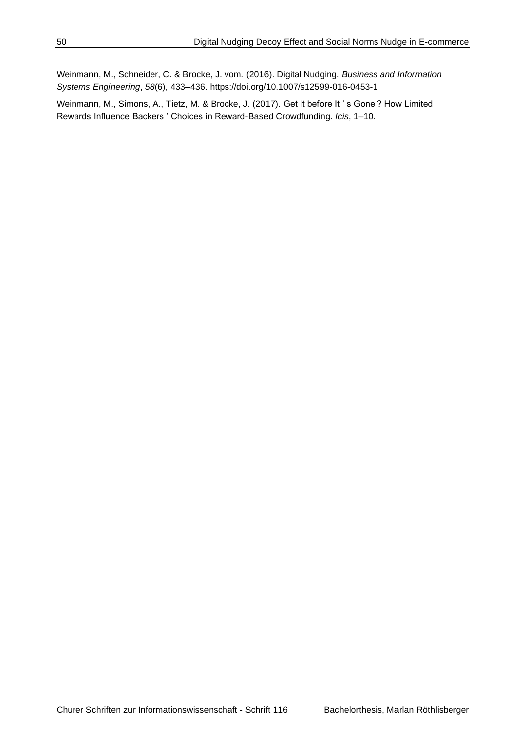Weinmann, M., Schneider, C. & Brocke, J. vom. (2016). Digital Nudging. *Business and Information Systems Engineering*, *58*(6), 433–436. https://doi.org/10.1007/s12599-016-0453-1

Weinmann, M., Simons, A., Tietz, M. & Brocke, J. (2017). Get It before It ' s Gone ? How Limited Rewards Influence Backers ' Choices in Reward-Based Crowdfunding. *Icis*, 1–10.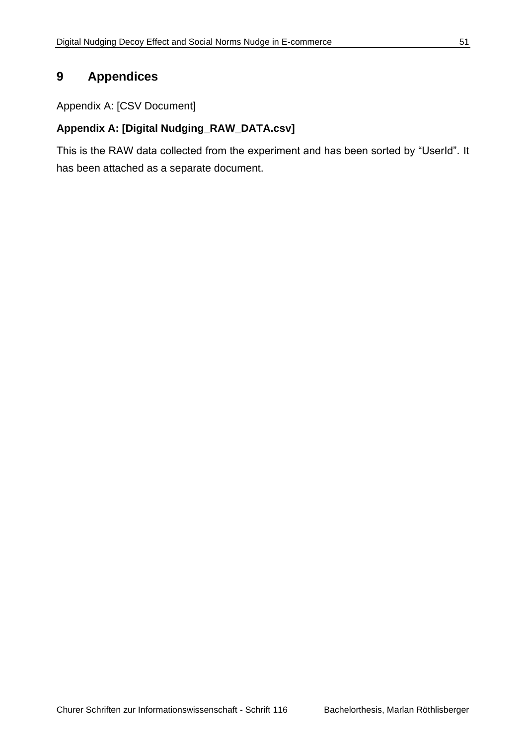# <span id="page-58-0"></span>**9 Appendices**

Appendix A: [CSV Document]

## **Appendix A: [Digital Nudging\_RAW\_DATA.csv]**

This is the RAW data collected from the experiment and has been sorted by "UserId". It has been attached as a separate document.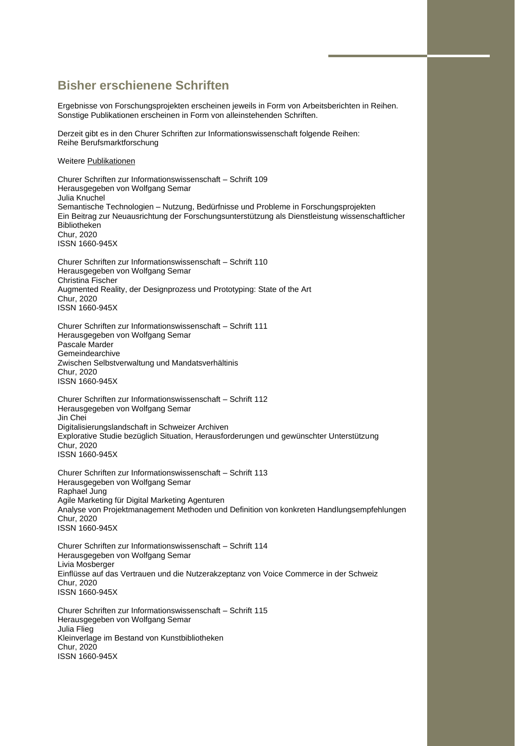#### **Bisher erschienene Schriften**

Ergebnisse von Forschungsprojekten erscheinen jeweils in Form von Arbeitsberichten in Reihen. Sonstige Publikationen erscheinen in Form von alleinstehenden Schriften.

Derzeit gibt es in den Churer Schriften zur Informationswissenschaft folgende Reihen: Reihe Berufsmarktforschung

#### Weiter[e Publikationen](https://www.fhgr.ch/fhgr/angewandte-zukunftstechnologien/schweizerisches-institut-fuer-informationswissenschaft-sii/publikationen/churer-schriften/)

Churer Schriften zur Informationswissenschaft – Schrift 109 Herausgegeben von Wolfgang Semar Julia Knuchel Semantische Technologien – Nutzung, Bedürfnisse und Probleme in Forschungsprojekten Ein Beitrag zur Neuausrichtung der Forschungsunterstützung als Dienstleistung wissenschaftlicher Bibliotheken Chur, 2020 ISSN 1660-945X

Churer Schriften zur Informationswissenschaft – Schrift 110 Herausgegeben von Wolfgang Semar Christina Fischer Augmented Reality, der Designprozess und Prototyping: State of the Art Chur, 2020 ISSN 1660-945X

Churer Schriften zur Informationswissenschaft – Schrift 111 Herausgegeben von Wolfgang Semar Pascale Marder Gemeindearchive Zwischen Selbstverwaltung und Mandatsverhältinis Chur, 2020 ISSN 1660-945X

Churer Schriften zur Informationswissenschaft – Schrift 112 Herausgegeben von Wolfgang Semar Jin Chei Digitalisierungslandschaft in Schweizer Archiven Explorative Studie bezüglich Situation, Herausforderungen und gewünschter Unterstützung Chur, 2020 ISSN 1660-945X

Churer Schriften zur Informationswissenschaft – Schrift 113 Herausgegeben von Wolfgang Semar Raphael Jung Agile Marketing für Digital Marketing Agenturen Analyse von Projektmanagement Methoden und Definition von konkreten Handlungsempfehlungen Chur, 2020 ISSN 1660-945X

Churer Schriften zur Informationswissenschaft – Schrift 114 Herausgegeben von Wolfgang Semar Livia Mosberger Einflüsse auf das Vertrauen und die Nutzerakzeptanz von Voice Commerce in der Schweiz Chur, 2020 ISSN 1660-945X

Churer Schriften zur Informationswissenschaft – Schrift 115 Herausgegeben von Wolfgang Semar Julia Flieg Kleinverlage im Bestand von Kunstbibliotheken Chur, 2020 ISSN 1660-945X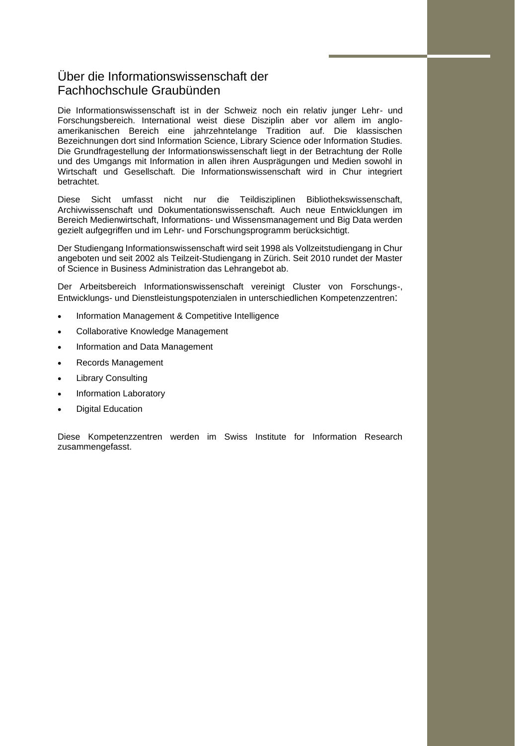#### Über die Informationswissenschaft der Fachhochschule Graubünden

Die Informationswissenschaft ist in der Schweiz noch ein relativ junger Lehr- und Forschungsbereich. International weist diese Disziplin aber vor allem im angloamerikanischen Bereich eine jahrzehntelange Tradition auf. Die klassischen Bezeichnungen dort sind Information Science, Library Science oder Information Studies. Die Grundfragestellung der Informationswissenschaft liegt in der Betrachtung der Rolle und des Umgangs mit Information in allen ihren Ausprägungen und Medien sowohl in Wirtschaft und Gesellschaft. Die Informationswissenschaft wird in Chur integriert betrachtet.

Diese Sicht umfasst nicht nur die Teildisziplinen Bibliothekswissenschaft, Archivwissenschaft und Dokumentationswissenschaft. Auch neue Entwicklungen im Bereich Medienwirtschaft, Informations- und Wissensmanagement und Big Data werden gezielt aufgegriffen und im Lehr- und Forschungsprogramm berücksichtigt.

Der Studiengang Informationswissenschaft wird seit 1998 als Vollzeitstudiengang in Chur angeboten und seit 2002 als Teilzeit-Studiengang in Zürich. Seit 2010 rundet der Master of Science in Business Administration das Lehrangebot ab.

Der Arbeitsbereich Informationswissenschaft vereinigt Cluster von Forschungs-, Entwicklungs- und Dienstleistungspotenzialen in unterschiedlichen Kompetenzzentren:

- Information Management & Competitive Intelligence
- Collaborative Knowledge Management
- Information and Data Management
- Records Management
- **Library Consulting**
- Information Laboratory
- Digital Education

Diese Kompetenzzentren werden im Swiss Institute for Information Research zusammengefasst.